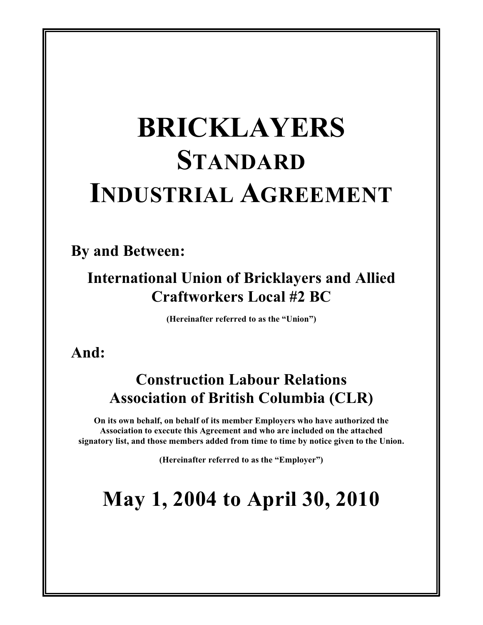# **BRICKLAYERS STANDARD INDUSTRIAL AGREEMENT**

### **By and Between:**

### **International Union of Bricklayers and Allied Craftworkers Local #2 BC**

**(Hereinafter referred to as the "Union")**

### **And:**

### **Construction Labour Relations Association of British Columbia (CLR)**

**On its own behalf, on behalf of its member Employers who have authorized the Association to execute this Agreement and who are included on the attached signatory list, and those members added from time to time by notice given to the Union.**

**(Hereinafter referred to as the "Employer")**

## **May 1, 2004 to April 30, 2010**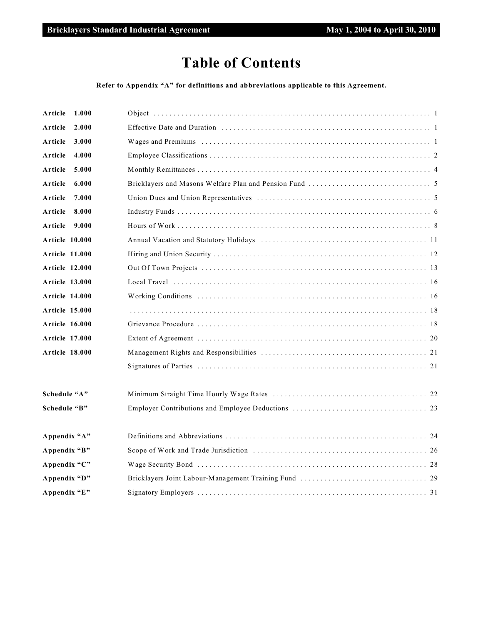### **Table of Contents**

#### **Refer to Appendix "A" for definitions and abbreviations applicable to this Agreement.**

| Article<br>1.000      |                                                                                                           |
|-----------------------|-----------------------------------------------------------------------------------------------------------|
| Article<br>2.000      |                                                                                                           |
| Article<br>3.000      |                                                                                                           |
| Article<br>4.000      |                                                                                                           |
| Article<br>5.000      |                                                                                                           |
| Article<br>6.000      |                                                                                                           |
| Article<br>7.000      |                                                                                                           |
| Article<br>8.000      |                                                                                                           |
| Article<br>9.000      |                                                                                                           |
| <b>Article 10.000</b> |                                                                                                           |
| <b>Article 11.000</b> |                                                                                                           |
| <b>Article 12.000</b> |                                                                                                           |
| <b>Article 13.000</b> | Local Travel $\dots\dots\dots\dots\dots\dots\dots\dots\dots\dots\dots\dots\dots\dots\dots\dots\dots\dots$ |
| <b>Article 14.000</b> |                                                                                                           |
| <b>Article 15.000</b> |                                                                                                           |
| <b>Article 16.000</b> |                                                                                                           |
| <b>Article 17.000</b> |                                                                                                           |
| <b>Article 18.000</b> |                                                                                                           |
|                       |                                                                                                           |
| Schedule "A"          |                                                                                                           |
| Schedule "B"          |                                                                                                           |
| Appendix "A"          |                                                                                                           |
| Appendix "B"          |                                                                                                           |
| Appendix "C"          |                                                                                                           |
| Appendix "D"          |                                                                                                           |
| Appendix "E"          |                                                                                                           |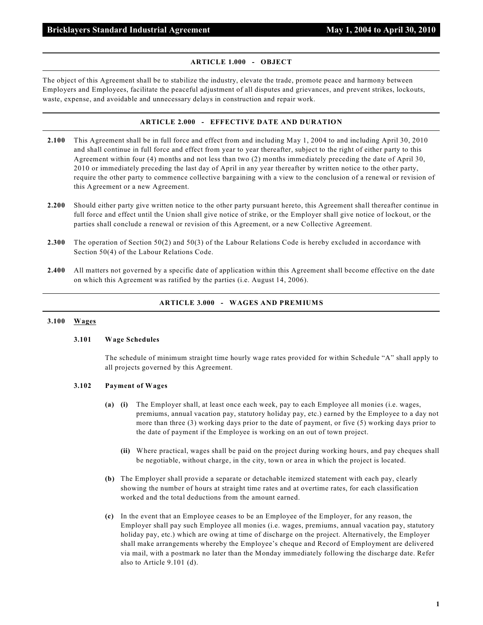#### **ARTICLE 1.000 - OBJECT**

The object of this Agreement shall be to stabilize the industry, elevate the trade, promote peace and harmony between Employers and Employees, facilitate the peaceful adjustment of all disputes and grievances, and prevent strikes, lockouts, waste, expense, and avoidable and unnecessary delays in construction and repair work.

#### **ARTICLE 2.000 - EFFECTIVE DATE AND DURATION**

- **2.100** This Agreement shall be in full force and effect from and including May 1, 2004 to and including April 30, 2010 and shall continue in full force and effect from year to year thereafter, subject to the right of either party to this Agreement within four (4) months and not less than two (2) months immediately preceding the date of April 30, 2010 or immediately preceding the last day of April in any year thereafter by written notice to the other party, require the other party to commence collective bargaining with a view to the conclusion of a renewal or revision of this Agreement or a new Agreement.
- **2.200** Should either party give written notice to the other party pursuant hereto, this Agreement shall thereafter continue in full force and effect until the Union shall give notice of strike, or the Employer shall give notice of lockout, or the parties shall conclude a renewal or revision of this Agreement, or a new Collective Agreement.
- **2.300** The operation of Section 50(2) and 50(3) of the Labour Relations Code is hereby excluded in accordance with Section 50(4) of the Labour Relations Code.
- **2.400** All matters not governed by a specific date of application within this Agreement shall become effective on the date on which this Agreement was ratified by the parties (i.e. August 14, 2006).

#### **ARTICLE 3.000 - WAGES AND PREMIUMS**

#### **3.100 Wages**

#### **3.101 Wage Schedules**

The schedule of minimum straight time hourly wage rates provided for within Schedule "A" shall apply to all projects governed by this Agreement.

#### **3.102 Payment of Wages**

- **(a) (i)** The Employer shall, at least once each week, pay to each Employee all monies (i.e. wages, premiums, annual vacation pay, statutory holiday pay, etc.) earned by the Employee to a day not more than three (3) working days prior to the date of payment, or five (5) working days prior to the date of payment if the Employee is working on an out of town project.
	- **(ii)** Where practical, wages shall be paid on the project during working hours, and pay cheques shall be negotiable, without charge, in the city, town or area in which the project is located.
- **(b)** The Employer shall provide a separate or detachable itemized statement with each pay, clearly showing the number of hours at straight time rates and at overtime rates, for each classification worked and the total deductions from the amount earned.
- **(c)** In the event that an Employee ceases to be an Employee of the Employer, for any reason, the Employer shall pay such Employee all monies (i.e. wages, premiums, annual vacation pay, statutory holiday pay, etc.) which are owing at time of discharge on the project. Alternatively, the Employer shall make arrangements whereby the Employee's cheque and Record of Employment are delivered via mail, with a postmark no later than the Monday immediately following the discharge date. Refer also to Article 9.101 (d).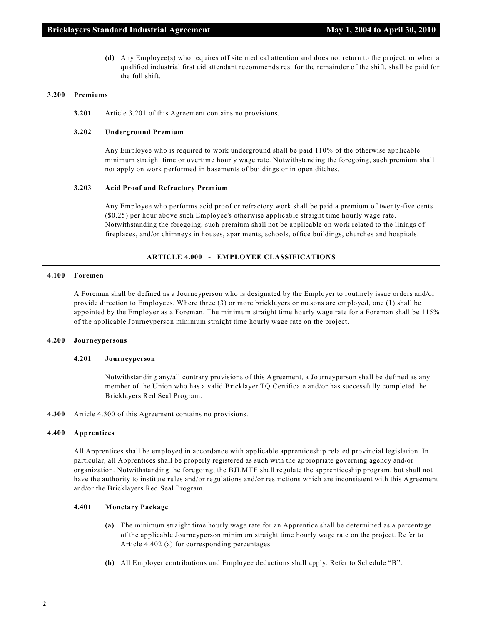**(d)** Any Employee(s) who requires off site medical attention and does not return to the project, or when a qualified industrial first aid attendant recommends rest for the remainder of the shift, shall be paid for the full shift.

#### **3.200 Premiums**

**3.201** Article 3.201 of this Agreement contains no provisions.

#### **3.202 Underground Premium**

Any Employee who is required to work underground shall be paid 110% of the otherwise applicable minimum straight time or overtime hourly wage rate. Notwithstanding the foregoing, such premium shall not apply on work performed in basements of buildings or in open ditches.

#### **3.203 Acid Proof and Refractory Premium**

Any Employee who performs acid proof or refractory work shall be paid a premium of twenty-five cents (\$0.25) per hour above such Employee's otherwise applicable straight time hourly wage rate. Notwithstanding the foregoing, such premium shall not be applicable on work related to the linings of fireplaces, and/or chimneys in houses, apartments, schools, office buildings, churches and hospitals.

#### **ARTICLE 4.000 - EMPLOYEE CLASSIFICATIONS**

#### **4.100 Foremen**

A Foreman shall be defined as a Journeyperson who is designated by the Employer to routinely issue orders and/or provide direction to Employees. Where three (3) or more bricklayers or masons are employed, one (1) shall be appointed by the Employer as a Foreman. The minimum straight time hourly wage rate for a Foreman shall be 115% of the applicable Journeyperson minimum straight time hourly wage rate on the project.

#### **4.200 Journeypersons**

#### **4.201 Journeyperson**

Notwithstanding any/all contrary provisions of this Agreement, a Journeyperson shall be defined as any member of the Union who has a valid Bricklayer TQ Certificate and/or has successfully completed the Bricklayers Red Seal Program.

**4.300** Article 4.300 of this Agreement contains no provisions.

#### **4.400 Apprentices**

All Apprentices shall be employed in accordance with applicable apprenticeship related provincial legislation. In particular, all Apprentices shall be properly registered as such with the appropriate governing agency and/or organization. Notwithstanding the foregoing, the BJLMTF shall regulate the apprenticeship program, but shall not have the authority to institute rules and/or regulations and/or restrictions which are inconsistent with this Agreement and/or the Bricklayers Red Seal Program.

#### **4.401 Monetary Package**

- **(a)** The minimum straight time hourly wage rate for an Apprentice shall be determined as a percentage of the applicable Journeyperson minimum straight time hourly wage rate on the project. Refer to Article 4.402 (a) for corresponding percentages.
- **(b)** All Employer contributions and Employee deductions shall apply. Refer to Schedule "B".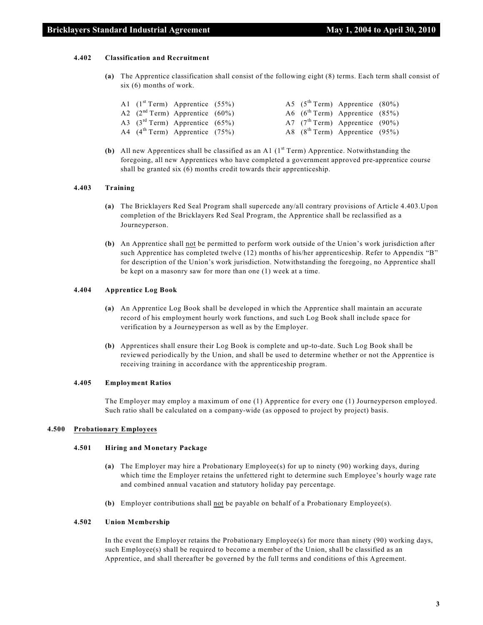#### **4.402 Classification and Recruitment**

**(a)** The Apprentice classification shall consist of the following eight (8) terms. Each term shall consist of six (6) months of work.

|  | A1 $(1st Term)$ Apprentice $(55%)$            |  | A5 $(5^{\text{th}}$ Term) Apprentice $(80\%)$ |  |
|--|-----------------------------------------------|--|-----------------------------------------------|--|
|  | A2 $(2nd Term)$ Apprentice $(60%)$            |  | A6 $(6th Term)$ Apprentice $(85%)$            |  |
|  | A3 $(3rd Term)$ Apprentice $(65%)$            |  | A7 $(7th Term)$ Apprentice (90%)              |  |
|  | A4 $(4^{\text{th}}$ Term) Apprentice $(75\%)$ |  | A8 $(8th Term)$ Apprentice $(95%)$            |  |

**(b)** All new Apprentices shall be classified as an A1  $(1<sup>st</sup> Term)$  Apprentice. Notwithstanding the foregoing, all new Apprentices who have completed a government approved pre-apprentice course shall be granted six (6) months credit towards their apprenticeship.

#### **4.403 Training**

- **(a)** The Bricklayers Red Seal Program shall supercede any/all contrary provisions of Article 4.403.Upon completion of the Bricklayers Red Seal Program, the Apprentice shall be reclassified as a Journeyperson.
- **(b)** An Apprentice shall not be permitted to perform work outside of the Union's work jurisdiction after such Apprentice has completed twelve (12) months of his/her apprenticeship. Refer to Appendix "B" for description of the Union's work jurisdiction. Notwithstanding the foregoing, no Apprentice shall be kept on a masonry saw for more than one (1) week at a time.

#### **4.404 Apprentice Log Book**

- **(a)** An Apprentice Log Book shall be developed in which the Apprentice shall maintain an accurate record of his employment hourly work functions, and such Log Book shall include space for verification by a Journeyperson as well as by the Employer.
- **(b)** Apprentices shall ensure their Log Book is complete and up-to-date. Such Log Book shall be reviewed periodically by the Union, and shall be used to determine whether or not the Apprentice is receiving training in accordance with the apprenticeship program.

#### **4.405 Employment Ratios**

The Employer may employ a maximum of one (1) Apprentice for every one (1) Journeyperson employed. Such ratio shall be calculated on a company-wide (as opposed to project by project) basis.

#### **4.500 Probationary Employees**

#### **4.501 Hiring and Monetary Package**

- **(a)** The Employer may hire a Probationary Employee(s) for up to ninety (90) working days, during which time the Employer retains the unfettered right to determine such Employee's hourly wage rate and combined annual vacation and statutory holiday pay percentage.
- **(b)** Employer contributions shall not be payable on behalf of a Probationary Employee(s).

#### **4.502 Union Membership**

In the event the Employer retains the Probationary Employee(s) for more than ninety (90) working days, such Employee(s) shall be required to become a member of the Union, shall be classified as an Apprentice, and shall thereafter be governed by the full terms and conditions of this Agreement.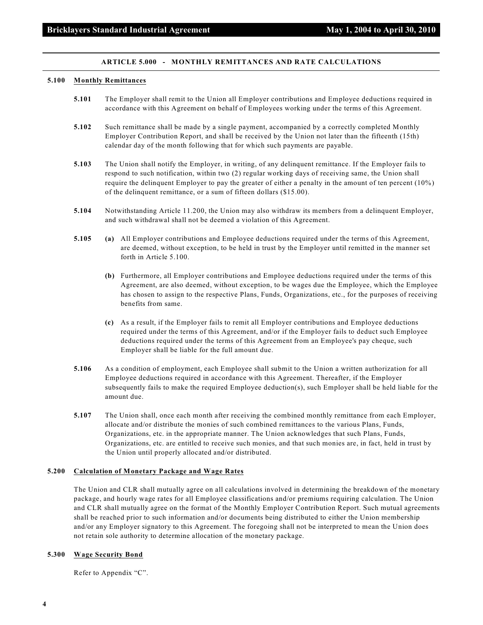#### **ARTICLE 5.000 - MONTHLY REMITTANCES AND RATE CALCULATIONS**

#### **5.100 Monthly Remittances**

- **5.101** The Employer shall remit to the Union all Employer contributions and Employee deductions required in accordance with this Agreement on behalf of Employees working under the terms of this Agreement.
- **5.102** Such remittance shall be made by a single payment, accompanied by a correctly completed Monthly Employer Contribution Report, and shall be received by the Union not later than the fifteenth (15th) calendar day of the month following that for which such payments are payable.
- **5.103** The Union shall notify the Employer, in writing, of any delinquent remittance. If the Employer fails to respond to such notification, within two (2) regular working days of receiving same, the Union shall require the delinquent Employer to pay the greater of either a penalty in the amount of ten percent (10%) of the delinquent remittance, or a sum of fifteen dollars (\$15.00).
- **5.104** Notwithstanding Article 11.200, the Union may also withdraw its members from a delinquent Employer, and such withdrawal shall not be deemed a violation of this Agreement.
- **5.105 (a)** All Employer contributions and Employee deductions required under the terms of this Agreement, are deemed, without exception, to be held in trust by the Employer until remitted in the manner set forth in Article 5.100.
	- **(b)** Furthermore, all Employer contributions and Employee deductions required under the terms of this Agreement, are also deemed, without exception, to be wages due the Employee, which the Employee has chosen to assign to the respective Plans, Funds, Organizations, etc., for the purposes of receiving benefits from same.
	- **(c)** As a result, if the Employer fails to remit all Employer contributions and Employee deductions required under the terms of this Agreement, and/or if the Employer fails to deduct such Employee deductions required under the terms of this Agreement from an Employee's pay cheque, such Employer shall be liable for the full amount due.
- **5.106** As a condition of employment, each Employee shall submit to the Union a written authorization for all Employee deductions required in accordance with this Agreement. Thereafter, if the Employer subsequently fails to make the required Employee deduction(s), such Employer shall be held liable for the amount due.
- **5.107** The Union shall, once each month after receiving the combined monthly remittance from each Employer, allocate and/or distribute the monies of such combined remittances to the various Plans, Funds, Organizations, etc. in the appropriate manner. The Union acknowledges that such Plans, Funds, Organizations, etc. are entitled to receive such monies, and that such monies are, in fact, held in trust by the Union until properly allocated and/or distributed.

#### **5.200 Calculation of Monetary Package and Wage Rates**

The Union and CLR shall mutually agree on all calculations involved in determining the breakdown of the monetary package, and hourly wage rates for all Employee classifications and/or premiums requiring calculation. The Union and CLR shall mutually agree on the format of the Monthly Employer Contribution Report. Such mutual agreements shall be reached prior to such information and/or documents being distributed to either the Union membership and/or any Employer signatory to this Agreement. The foregoing shall not be interpreted to mean the Union does not retain sole authority to determine allocation of the monetary package.

#### **5.300 Wage Security Bond**

Refer to Appendix "C".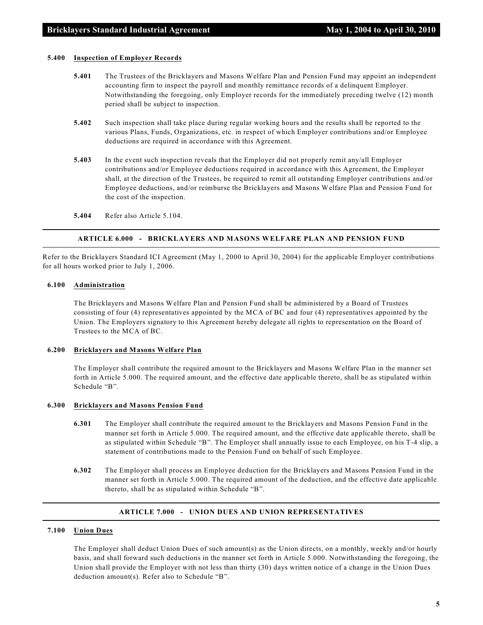#### **5.400 Inspection of Employer Records**

- **5.401** The Trustees of the Bricklayers and Masons Welfare Plan and Pension Fund may appoint an independent accounting firm to inspect the payroll and monthly remittance records of a delinquent Employer. Notwithstanding the foregoing, only Employer records for the immediately preceding twelve (12) month period shall be subject to inspection.
- **5.402** Such inspection shall take place during regular working hours and the results shall be reported to the various Plans, Funds, Organizations, etc. in respect of which Employer contributions and/or Employee deductions are required in accordance with this Agreement.
- **5.403** In the event such inspection reveals that the Employer did not properly remit any/all Employer contributions and/or Employee deductions required in accordance with this Agreement, the Employer shall, at the direction of the Trustees, be required to remit all outstanding Employer contributions and/or Employee deductions, and/or reimburse the Bricklayers and Masons Welfare Plan and Pension Fund for the cost of the inspection.
- **5.404** Refer also Article 5.104.

#### **ARTICLE 6.000 - BRICKLAYERS AND MASONS WELFARE PLAN AND PENSION FUND**

Refer to the Bricklayers Standard ICI Agreement (May 1, 2000 to April 30, 2004) for the applicable Employer contributions for all hours worked prior to July 1, 2006.

#### **6.100 Administration**

The Bricklayers and Masons Welfare Plan and Pension Fund shall be administered by a Board of Trustees consisting of four (4) representatives appointed by the MCA of BC and four (4) representatives appointed by the Union. The Employers signatory to this Agreement hereby delegate all rights to representation on the Board of Trustees to the MCA of BC.

#### **6.200 Bricklayers and Masons Welfare Plan**

The Employer shall contribute the required amount to the Bricklayers and Masons Welfare Plan in the manner set forth in Article 5.000. The required amount, and the effective date applicable thereto, shall be as stipulated within Schedule "B".

#### **6.300 Bricklayers and Masons Pension Fund**

- **6.301** The Employer shall contribute the required amount to the Bricklayers and Masons Pension Fund in the manner set forth in Article 5.000. The required amount, and the effective date applicable thereto, shall be as stipulated within Schedule "B". The Employer shall annually issue to each Employee, on his T-4 slip, a statement of contributions made to the Pension Fund on behalf of such Employee.
- **6.302** The Employer shall process an Employee deduction for the Bricklayers and Masons Pension Fund in the manner set forth in Article 5.000. The required amount of the deduction, and the effective date applicable thereto, shall be as stipulated within Schedule "B".

#### **ARTICLE 7.000 - UNION DUES AND UNION REPRESENTATIVES**

#### **7.100 Union Dues**

The Employer shall deduct Union Dues of such amount(s) as the Union directs, on a monthly, weekly and/or hourly basis, and shall forward such deductions in the manner set forth in Article 5.000. Notwithstanding the foregoing, the Union shall provide the Employer with not less than thirty (30) days written notice of a change in the Union Dues deduction amount(s). Refer also to Schedule "B".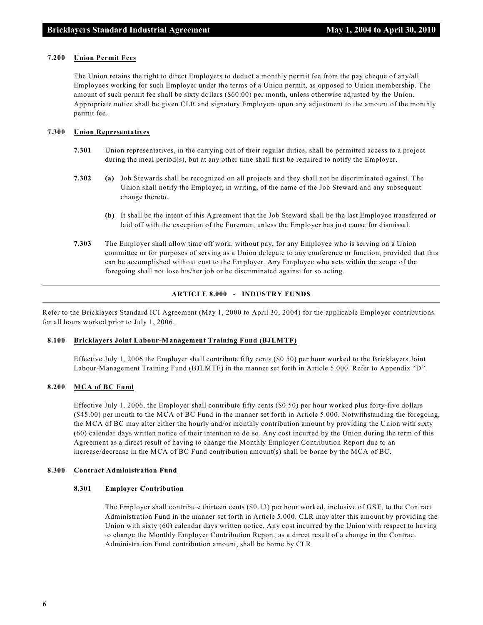#### **7.200 Union Permit Fees**

The Union retains the right to direct Employers to deduct a monthly permit fee from the pay cheque of any/all Employees working for such Employer under the terms of a Union permit, as opposed to Union membership. The amount of such permit fee shall be sixty dollars (\$60.00) per month, unless otherwise adjusted by the Union. Appropriate notice shall be given CLR and signatory Employers upon any adjustment to the amount of the monthly permit fee.

#### **7.300 Union Representatives**

- **7.301** Union representatives, in the carrying out of their regular duties, shall be permitted access to a project during the meal period(s), but at any other time shall first be required to notify the Employer.
- **7.302 (a)** Job Stewards shall be recognized on all projects and they shall not be discriminated against. The Union shall notify the Employer, in writing, of the name of the Job Steward and any subsequent change thereto.
	- **(b)** It shall be the intent of this Agreement that the Job Steward shall be the last Employee transferred or laid off with the exception of the Foreman, unless the Employer has just cause for dismissal.
- **7.303** The Employer shall allow time off work, without pay, for any Employee who is serving on a Union committee or for purposes of serving as a Union delegate to any conference or function, provided that this can be accomplished without cost to the Employer. Any Employee who acts within the scope of the foregoing shall not lose his/her job or be discriminated against for so acting.

#### **ARTICLE 8.000 - INDUSTRY FUNDS**

Refer to the Bricklayers Standard ICI Agreement (May 1, 2000 to April 30, 2004) for the applicable Employer contributions for all hours worked prior to July 1, 2006.

#### **8.100 Bricklayers Joint Labour-Management Training Fund (BJLMTF)**

Effective July 1, 2006 the Employer shall contribute fifty cents (\$0.50) per hour worked to the Bricklayers Joint Labour-Management Training Fund (BJLMTF) in the manner set forth in Article 5.000. Refer to Appendix "D".

#### **8.200 MCA of BC Fund**

Effective July 1, 2006, the Employer shall contribute fifty cents (\$0.50) per hour worked plus forty-five dollars (\$45.00) per month to the MCA of BC Fund in the manner set forth in Article 5.000. Notwithstanding the foregoing, the MCA of BC may alter either the hourly and/or monthly contribution amount by providing the Union with sixty (60) calendar days written notice of their intention to do so. Any cost incurred by the Union during the term of this Agreement as a direct result of having to change the Monthly Employer Contribution Report due to an increase/decrease in the MCA of BC Fund contribution amount(s) shall be borne by the MCA of BC.

#### **8.300 Contract Administration Fund**

#### **8.301 Employer Contribution**

The Employer shall contribute thirteen cents (\$0.13) per hour worked, inclusive of GST, to the Contract Administration Fund in the manner set forth in Article 5.000. CLR may alter this amount by providing the Union with sixty (60) calendar days written notice. Any cost incurred by the Union with respect to having to change the Monthly Employer Contribution Report, as a direct result of a change in the Contract Administration Fund contribution amount, shall be borne by CLR.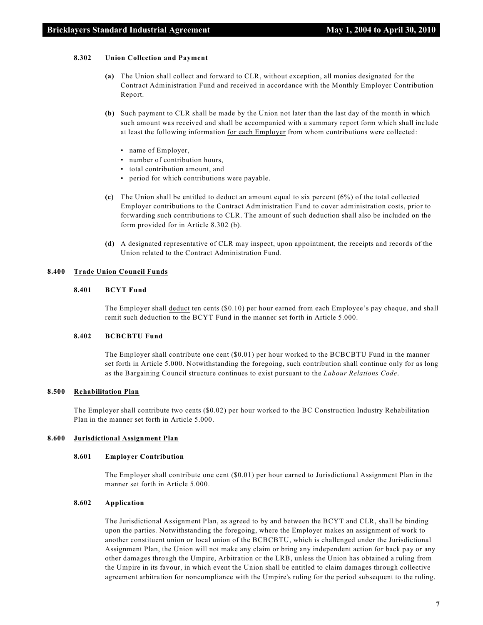#### **8.302 Union Collection and Payment**

- **(a)** The Union shall collect and forward to CLR, without exception, all monies designated for the Contract Administration Fund and received in accordance with the Monthly Employer Contribution Report.
- **(b)** Such payment to CLR shall be made by the Union not later than the last day of the month in which such amount was received and shall be accompanied with a summary report form which shall include at least the following information for each Employer from whom contributions were collected:
	- name of Employer,
	- number of contribution hours,
	- total contribution amount, and
	- period for which contributions were payable.
- **(c)** The Union shall be entitled to deduct an amount equal to six percent (6%) of the total collected Employer contributions to the Contract Administration Fund to cover administration costs, prior to forwarding such contributions to CLR. The amount of such deduction shall also be included on the form provided for in Article 8.302 (b).
- **(d)** A designated representative of CLR may inspect, upon appointment, the receipts and records of the Union related to the Contract Administration Fund.

#### **8.400 Trade Union Council Funds**

#### **8.401 BCYT Fund**

The Employer shall deduct ten cents (\$0.10) per hour earned from each Employee's pay cheque, and shall remit such deduction to the BCYT Fund in the manner set forth in Article 5.000.

#### **8.402 BCBCBTU Fund**

The Employer shall contribute one cent (\$0.01) per hour worked to the BCBCBTU Fund in the manner set forth in Article 5.000. Notwithstanding the foregoing, such contribution shall continue only for as long as the Bargaining Council structure continues to exist pursuant to the *Labour Relations Code*.

#### **8.500 Rehabilitation Plan**

The Employer shall contribute two cents (\$0.02) per hour worked to the BC Construction Industry Rehabilitation Plan in the manner set forth in Article 5.000.

#### **8.600 Jurisdictional Assignment Plan**

#### **8.601 Employer Contribution**

The Employer shall contribute one cent (\$0.01) per hour earned to Jurisdictional Assignment Plan in the manner set forth in Article 5.000.

#### **8.602 Application**

The Jurisdictional Assignment Plan, as agreed to by and between the BCYT and CLR, shall be binding upon the parties. Notwithstanding the foregoing, where the Employer makes an assignment of work to another constituent union or local union of the BCBCBTU, which is challenged under the Jurisdictional Assignment Plan, the Union will not make any claim or bring any independent action for back pay or any other damages through the Umpire, Arbitration or the LRB, unless the Union has obtained a ruling from the Umpire in its favour, in which event the Union shall be entitled to claim damages through collective agreement arbitration for noncompliance with the Umpire's ruling for the period subsequent to the ruling.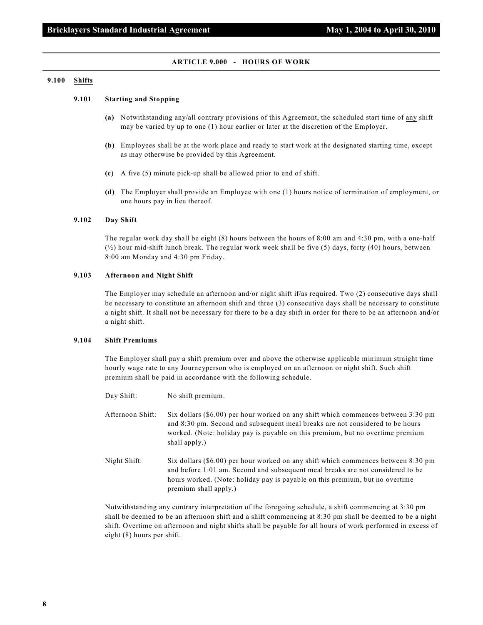#### **ARTICLE 9.000 - HOURS OF WORK**

#### **9.100 Shifts**

#### **9.101 Starting and Stopping**

- **(a)** Notwithstanding any/all contrary provisions of this Agreement, the scheduled start time of any shift may be varied by up to one (1) hour earlier or later at the discretion of the Employer.
- **(b)** Employees shall be at the work place and ready to start work at the designated starting time, except as may otherwise be provided by this Agreement.
- **(c)** A five (5) minute pick-up shall be allowed prior to end of shift.
- **(d)** The Employer shall provide an Employee with one (1) hours notice of termination of employment, or one hours pay in lieu thereof.

#### **9.102 Day Shift**

The regular work day shall be eight (8) hours between the hours of 8:00 am and 4:30 pm, with a one-half  $(\frac{1}{2})$  hour mid-shift lunch break. The regular work week shall be five (5) days, forty (40) hours, between 8:00 am Monday and 4:30 pm Friday.

#### **9.103 Afternoon and Night Shift**

The Employer may schedule an afternoon and/or night shift if/as required. Two (2) consecutive days shall be necessary to constitute an afternoon shift and three (3) consecutive days shall be necessary to constitute a night shift. It shall not be necessary for there to be a day shift in order for there to be an afternoon and/or a night shift.

#### **9.104 Shift Premiums**

The Employer shall pay a shift premium over and above the otherwise applicable minimum straight time hourly wage rate to any Journeyperson who is employed on an afternoon or night shift. Such shift premium shall be paid in accordance with the following schedule.

| Day Shift:       | No shift premium.                                                                                                                                                                                                                                                            |
|------------------|------------------------------------------------------------------------------------------------------------------------------------------------------------------------------------------------------------------------------------------------------------------------------|
| Afternoon Shift: | Six dollars (\$6.00) per hour worked on any shift which commences between 3:30 pm<br>and 8:30 pm. Second and subsequent meal breaks are not considered to be hours<br>worked. (Note: holiday pay is payable on this premium, but no overtime premium<br>shall apply.)        |
| Night Shift:     | Six dollars (\$6.00) per hour worked on any shift which commences between 8:30 pm<br>and before 1:01 am. Second and subsequent meal breaks are not considered to be<br>hours worked. (Note: holiday pay is payable on this premium, but no overtime<br>premium shall apply.) |

Notwithstanding any contrary interpretation of the foregoing schedule, a shift commencing at 3:30 pm shall be deemed to be an afternoon shift and a shift commencing at 8:30 pm shall be deemed to be a night shift. Overtime on afternoon and night shifts shall be payable for all hours of work performed in excess of eight (8) hours per shift.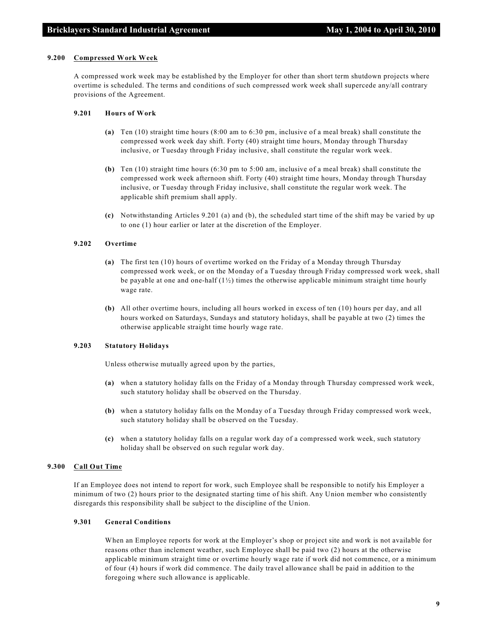#### **9.200 Compressed Work Week**

A compressed work week may be established by the Employer for other than short term shutdown projects where overtime is scheduled. The terms and conditions of such compressed work week shall supercede any/all contrary provisions of the Agreement.

#### **9.201 Hours of Work**

- **(a)** Ten (10) straight time hours (8:00 am to 6:30 pm, inclusive of a meal break) shall constitute the compressed work week day shift. Forty (40) straight time hours, Monday through Thursday inclusive, or Tuesday through Friday inclusive, shall constitute the regular work week.
- **(b)** Ten (10) straight time hours (6:30 pm to 5:00 am, inclusive of a meal break) shall constitute the compressed work week afternoon shift. Forty (40) straight time hours, Monday through Thursday inclusive, or Tuesday through Friday inclusive, shall constitute the regular work week. The applicable shift premium shall apply.
- **(c)** Notwithstanding Articles 9.201 (a) and (b), the scheduled start time of the shift may be varied by up to one (1) hour earlier or later at the discretion of the Employer.

#### **9.202 Overtime**

- **(a)** The first ten (10) hours of overtime worked on the Friday of a Monday through Thursday compressed work week, or on the Monday of a Tuesday through Friday compressed work week, shall be payable at one and one-half  $(1/2)$  times the otherwise applicable minimum straight time hourly wage rate.
- **(b)** All other overtime hours, including all hours worked in excess of ten (10) hours per day, and all hours worked on Saturdays, Sundays and statutory holidays, shall be payable at two (2) times the otherwise applicable straight time hourly wage rate.

#### **9.203 Statutory Holidays**

Unless otherwise mutually agreed upon by the parties,

- **(a)** when a statutory holiday falls on the Friday of a Monday through Thursday compressed work week, such statutory holiday shall be observed on the Thursday.
- **(b)** when a statutory holiday falls on the Monday of a Tuesday through Friday compressed work week, such statutory holiday shall be observed on the Tuesday.
- **(c)** when a statutory holiday falls on a regular work day of a compressed work week, such statutory holiday shall be observed on such regular work day.

#### **9.300 Call Out Time**

If an Employee does not intend to report for work, such Employee shall be responsible to notify his Employer a minimum of two (2) hours prior to the designated starting time of his shift. Any Union member who consistently disregards this responsibility shall be subject to the discipline of the Union.

#### **9.301 General Conditions**

When an Employee reports for work at the Employer's shop or project site and work is not available for reasons other than inclement weather, such Employee shall be paid two (2) hours at the otherwise applicable minimum straight time or overtime hourly wage rate if work did not commence, or a minimum of four (4) hours if work did commence. The daily travel allowance shall be paid in addition to the foregoing where such allowance is applicable.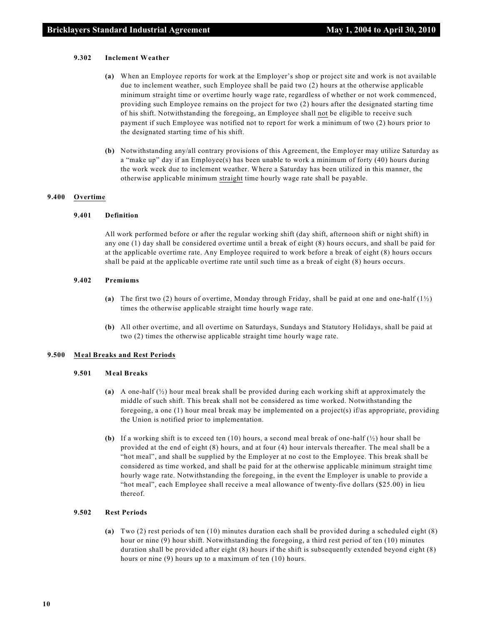#### **9.302 Inclement Weather**

- **(a)** When an Employee reports for work at the Employer's shop or project site and work is not available due to inclement weather, such Employee shall be paid two (2) hours at the otherwise applicable minimum straight time or overtime hourly wage rate, regardless of whether or not work commenced, providing such Employee remains on the project for two (2) hours after the designated starting time of his shift. Notwithstanding the foregoing, an Employee shall not be eligible to receive such payment if such Employee was notified not to report for work a minimum of two (2) hours prior to the designated starting time of his shift.
- **(b)** Notwithstanding any/all contrary provisions of this Agreement, the Employer may utilize Saturday as a "make up" day if an Employee(s) has been unable to work a minimum of forty (40) hours during the work week due to inclement weather. Where a Saturday has been utilized in this manner, the otherwise applicable minimum straight time hourly wage rate shall be payable.

#### **9.400 Overtime**

#### **9.401 Definition**

All work performed before or after the regular working shift (day shift, afternoon shift or night shift) in any one (1) day shall be considered overtime until a break of eight (8) hours occurs, and shall be paid for at the applicable overtime rate. Any Employee required to work before a break of eight (8) hours occurs shall be paid at the applicable overtime rate until such time as a break of eight (8) hours occurs.

#### **9.402 Premiums**

- **(a)** The first two (2) hours of overtime, Monday through Friday, shall be paid at one and one-half (1½) times the otherwise applicable straight time hourly wage rate.
- **(b)** All other overtime, and all overtime on Saturdays, Sundays and Statutory Holidays, shall be paid at two (2) times the otherwise applicable straight time hourly wage rate.

#### **9.500 Meal Breaks and Rest Periods**

#### **9.501 Meal Breaks**

- **(a)** A one-half (½) hour meal break shall be provided during each working shift at approximately the middle of such shift. This break shall not be considered as time worked. Notwithstanding the foregoing, a one (1) hour meal break may be implemented on a project(s) if/as appropriate, providing the Union is notified prior to implementation.
- **(b)** If a working shift is to exceed ten (10) hours, a second meal break of one-half (½) hour shall be provided at the end of eight (8) hours, and at four (4) hour intervals thereafter. The meal shall be a "hot meal", and shall be supplied by the Employer at no cost to the Employee. This break shall be considered as time worked, and shall be paid for at the otherwise applicable minimum straight time hourly wage rate. Notwithstanding the foregoing, in the event the Employer is unable to provide a "hot meal", each Employee shall receive a meal allowance of twenty-five dollars (\$25.00) in lieu thereof.

#### **9.502 Rest Periods**

**(a)** Two (2) rest periods of ten (10) minutes duration each shall be provided during a scheduled eight (8) hour or nine (9) hour shift. Notwithstanding the foregoing, a third rest period of ten (10) minutes duration shall be provided after eight (8) hours if the shift is subsequently extended beyond eight (8) hours or nine (9) hours up to a maximum of ten (10) hours.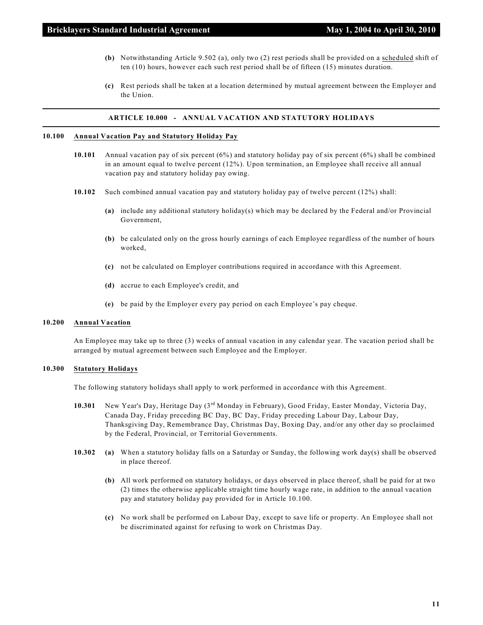- **(b)** Notwithstanding Article 9.502 (a), only two (2) rest periods shall be provided on a scheduled shift of ten (10) hours, however each such rest period shall be of fifteen (15) minutes duration.
- **(c)** Rest periods shall be taken at a location determined by mutual agreement between the Employer and the Union.

#### **ARTICLE 10.000 - ANNUAL VACATION AND STATUTORY HOLIDAYS**

#### **10.100 Annual Vacation Pay and Statutory Holiday Pay**

- **10.101** Annual vacation pay of six percent (6%) and statutory holiday pay of six percent (6%) shall be combined in an amount equal to twelve percent (12%). Upon termination, an Employee shall receive all annual vacation pay and statutory holiday pay owing.
- **10.102** Such combined annual vacation pay and statutory holiday pay of twelve percent (12%) shall:
	- **(a)** include any additional statutory holiday(s) which may be declared by the Federal and/or Provincial Government,
	- **(b)** be calculated only on the gross hourly earnings of each Employee regardless of the number of hours worked,
	- **(c)** not be calculated on Employer contributions required in accordance with this Agreement.
	- **(d)** accrue to each Employee's credit, and
	- **(e)** be paid by the Employer every pay period on each Employee's pay cheque.

#### **10.200 Annual Vacation**

An Employee may take up to three (3) weeks of annual vacation in any calendar year. The vacation period shall be arranged by mutual agreement between such Employee and the Employer.

#### **10.300 Statutory Holidays**

The following statutory holidays shall apply to work performed in accordance with this Agreement.

- 10.301 New Year's Day, Heritage Day (3<sup>rd</sup> Monday in February), Good Friday, Easter Monday, Victoria Day, Canada Day, Friday preceding BC Day, BC Day, Friday preceding Labour Day, Labour Day, Thanksgiving Day, Remembrance Day, Christmas Day, Boxing Day, and/or any other day so proclaimed by the Federal, Provincial, or Territorial Governments.
- **10.302 (a)** When a statutory holiday falls on a Saturday or Sunday, the following work day(s) shall be observed in place thereof.
	- **(b)** All work performed on statutory holidays, or days observed in place thereof, shall be paid for at two (2) times the otherwise applicable straight time hourly wage rate, in addition to the annual vacation pay and statutory holiday pay provided for in Article 10.100.
	- **(c)** No work shall be performed on Labour Day, except to save life or property. An Employee shall not be discriminated against for refusing to work on Christmas Day.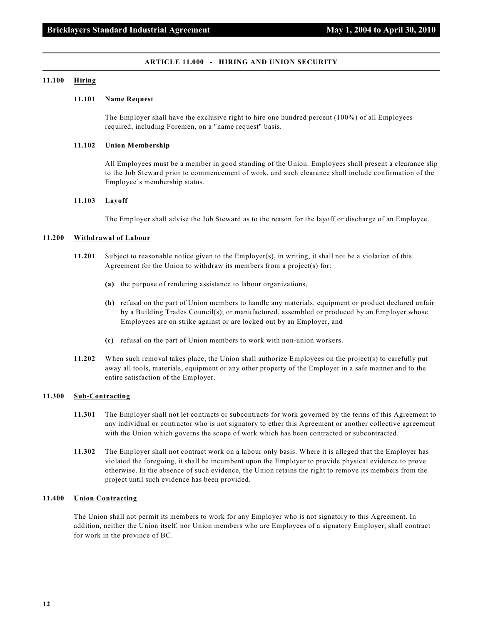#### **ARTICLE 11.000 - HIRING AND UNION SECURITY**

#### **11.100 Hiring**

#### **11.101 Name Request**

The Employer shall have the exclusive right to hire one hundred percent (100%) of all Employees required, including Foremen, on a "name request" basis.

#### **11.102 Union Membership**

All Employees must be a member in good standing of the Union. Employees shall present a clearance slip to the Job Steward prior to commencement of work, and such clearance shall include confirmation of the Employee's membership status.

#### **11.103 Layoff**

The Employer shall advise the Job Steward as to the reason for the layoff or discharge of an Employee.

#### **11.200 Withdrawal of Labour**

- **11.201** Subject to reasonable notice given to the Employer(s), in writing, it shall not be a violation of this Agreement for the Union to withdraw its members from a project(s) for:
	- **(a)** the purpose of rendering assistance to labour organizations,
	- **(b)** refusal on the part of Union members to handle any materials, equipment or product declared unfair by a Building Trades Council(s); or manufactured, assembled or produced by an Employer whose Employees are on strike against or are locked out by an Employer, and
	- **(c)** refusal on the part of Union members to work with non-union workers.
- **11.202** When such removal takes place, the Union shall authorize Employees on the project(s) to carefully put away all tools, materials, equipment or any other property of the Employer in a safe manner and to the entire satisfaction of the Employer.

#### **11.300 Sub-Contracting**

- **11.301** The Employer shall not let contracts or subcontracts for work governed by the terms of this Agreement to any individual or contractor who is not signatory to ether this Agreement or another collective agreement with the Union which governs the scope of work which has been contracted or subcontracted.
- **11.302** The Employer shall not contract work on a labour only basis. Where it is alleged that the Employer has violated the foregoing, it shall be incumbent upon the Employer to provide physical evidence to prove otherwise. In the absence of such evidence, the Union retains the right to remove its members from the project until such evidence has been provided.

#### **11.400 Union Contracting**

The Union shall not permit its members to work for any Employer who is not signatory to this Agreement. In addition, neither the Union itself, nor Union members who are Employees of a signatory Employer, shall contract for work in the province of BC.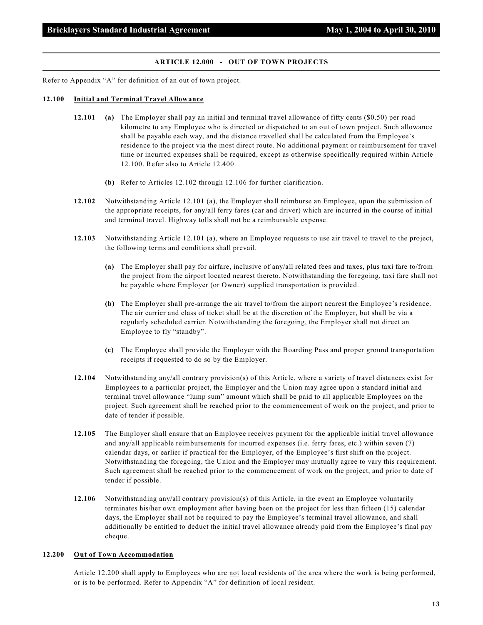#### **ARTICLE 12.000 - OUT OF TOWN PROJECTS**

Refer to Appendix "A" for definition of an out of town project.

#### **12.100 Initial and Terminal Travel Allowance**

- **12.101 (a)** The Employer shall pay an initial and terminal travel allowance of fifty cents (\$0.50) per road kilometre to any Employee who is directed or dispatched to an out of town project. Such allowance shall be payable each way, and the distance travelled shall be calculated from the Employee's residence to the project via the most direct route. No additional payment or reimbursement for travel time or incurred expenses shall be required, except as otherwise specifically required within Article 12.100. Refer also to Article 12.400.
	- **(b)** Refer to Articles 12.102 through 12.106 for further clarification.
- **12.102** Notwithstanding Article 12.101 (a), the Employer shall reimburse an Employee, upon the submission of the appropriate receipts, for any/all ferry fares (car and driver) which are incurred in the course of initial and terminal travel. Highway tolls shall not be a reimbursable expense.
- **12.103** Notwithstanding Article 12.101 (a), where an Employee requests to use air travel to travel to the project, the following terms and conditions shall prevail.
	- **(a)** The Employer shall pay for airfare, inclusive of any/all related fees and taxes, plus taxi fare to/from the project from the airport located nearest thereto. Notwithstanding the foregoing, taxi fare shall not be payable where Employer (or Owner) supplied transportation is provided.
	- **(b)** The Employer shall pre-arrange the air travel to/from the airport nearest the Employee's residence. The air carrier and class of ticket shall be at the discretion of the Employer, but shall be via a regularly scheduled carrier. Notwithstanding the foregoing, the Employer shall not direct an Employee to fly "standby".
	- **(c)** The Employee shall provide the Employer with the Boarding Pass and proper ground transportation receipts if requested to do so by the Employer.
- **12.104** Notwithstanding any/all contrary provision(s) of this Article, where a variety of travel distances exist for Employees to a particular project, the Employer and the Union may agree upon a standard initial and terminal travel allowance "lump sum" amount which shall be paid to all applicable Employees on the project. Such agreement shall be reached prior to the commencement of work on the project, and prior to date of tender if possible.
- **12.105** The Employer shall ensure that an Employee receives payment for the applicable initial travel allowance and any/all applicable reimbursements for incurred expenses (i.e. ferry fares, etc.) within seven (7) calendar days, or earlier if practical for the Employer, of the Employee's first shift on the project. Notwithstanding the foregoing, the Union and the Employer may mutually agree to vary this requirement. Such agreement shall be reached prior to the commencement of work on the project, and prior to date of tender if possible.
- **12.106** Notwithstanding any/all contrary provision(s) of this Article, in the event an Employee voluntarily terminates his/her own employment after having been on the project for less than fifteen (15) calendar days, the Employer shall not be required to pay the Employee's terminal travel allowance, and shall additionally be entitled to deduct the initial travel allowance already paid from the Employee's final pay cheque.

#### **12.200 Out of Town Accommodation**

Article 12.200 shall apply to Employees who are not local residents of the area where the work is being performed, or is to be performed. Refer to Appendix "A" for definition of local resident.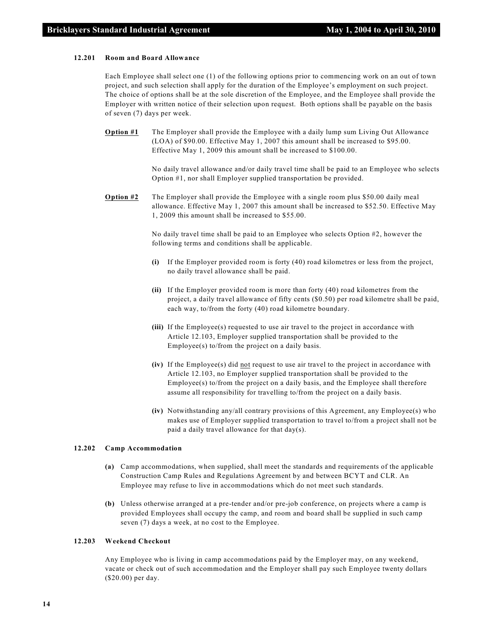#### **12.201 Room and Board Allowance**

Each Employee shall select one (1) of the following options prior to commencing work on an out of town project, and such selection shall apply for the duration of the Employee's employment on such project. The choice of options shall be at the sole discretion of the Employee, and the Employee shall provide the Employer with written notice of their selection upon request. Both options shall be payable on the basis of seven (7) days per week.

**Option #1** The Employer shall provide the Employee with a daily lump sum Living Out Allowance (LOA) of \$90.00. Effective May 1, 2007 this amount shall be increased to \$95.00. Effective May 1, 2009 this amount shall be increased to \$100.00.

> No daily travel allowance and/or daily travel time shall be paid to an Employee who selects Option #1, nor shall Employer supplied transportation be provided.

**Option #2** The Employer shall provide the Employee with a single room plus \$50.00 daily meal allowance. Effective May 1, 2007 this amount shall be increased to \$52.50. Effective May 1, 2009 this amount shall be increased to \$55.00.

> No daily travel time shall be paid to an Employee who selects Option #2, however the following terms and conditions shall be applicable.

- **(i)** If the Employer provided room is forty (40) road kilometres or less from the project, no daily travel allowance shall be paid.
- **(ii)** If the Employer provided room is more than forty (40) road kilometres from the project, a daily travel allowance of fifty cents (\$0.50) per road kilometre shall be paid, each way, to/from the forty (40) road kilometre boundary.
- **(iii)** If the Employee(s) requested to use air travel to the project in accordance with Article 12.103, Employer supplied transportation shall be provided to the Employee(s) to/from the project on a daily basis.
- **(iv)** If the Employee(s) did not request to use air travel to the project in accordance with Article 12.103, no Employer supplied transportation shall be provided to the Employee(s) to/from the project on a daily basis, and the Employee shall therefore assume all responsibility for travelling to/from the project on a daily basis.
- **(iv)** Notwithstanding any/all contrary provisions of this Agreement, any Employee(s) who makes use of Employer supplied transportation to travel to/from a project shall not be paid a daily travel allowance for that day(s).

#### **12.202 Camp Accommodation**

- **(a)** Camp accommodations, when supplied, shall meet the standards and requirements of the applicable Construction Camp Rules and Regulations Agreement by and between BCYT and CLR. An Employee may refuse to live in accommodations which do not meet such standards.
- **(b)** Unless otherwise arranged at a pre-tender and/or pre-job conference, on projects where a camp is provided Employees shall occupy the camp, and room and board shall be supplied in such camp seven (7) days a week, at no cost to the Employee.

#### **12.203 Weekend Checkout**

Any Employee who is living in camp accommodations paid by the Employer may, on any weekend, vacate or check out of such accommodation and the Employer shall pay such Employee twenty dollars (\$20.00) per day.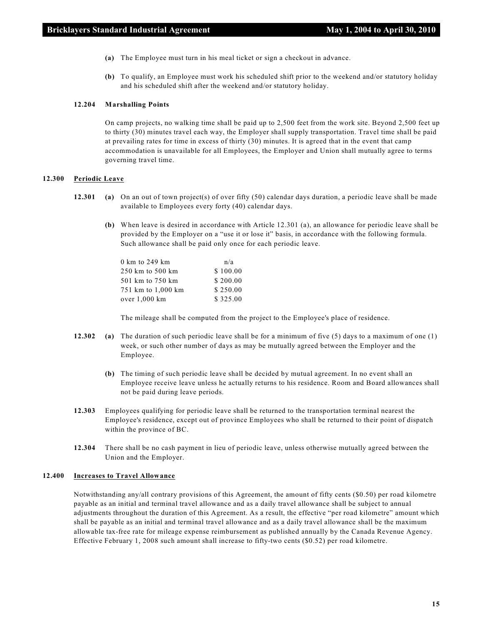- **(a)** The Employee must turn in his meal ticket or sign a checkout in advance.
- **(b)** To qualify, an Employee must work his scheduled shift prior to the weekend and/or statutory holiday and his scheduled shift after the weekend and/or statutory holiday.

#### **12.204 Marshalling Points**

On camp projects, no walking time shall be paid up to 2,500 feet from the work site. Beyond 2,500 feet up to thirty (30) minutes travel each way, the Employer shall supply transportation. Travel time shall be paid at prevailing rates for time in excess of thirty (30) minutes. It is agreed that in the event that camp accommodation is unavailable for all Employees, the Employer and Union shall mutually agree to terms governing travel time.

#### **12.300 Periodic Leave**

- **12.301 (a)** On an out of town project(s) of over fifty (50) calendar days duration, a periodic leave shall be made available to Employees every forty (40) calendar days.
	- **(b)** When leave is desired in accordance with Article 12.301 (a), an allowance for periodic leave shall be provided by the Employer on a "use it or lose it" basis, in accordance with the following formula. Such allowance shall be paid only once for each periodic leave.

| n/a      |
|----------|
| \$100.00 |
| \$200.00 |
| \$250.00 |
| \$325.00 |
|          |

The mileage shall be computed from the project to the Employee's place of residence.

- **12.302 (a)** The duration of such periodic leave shall be for a minimum of five (5) days to a maximum of one (1) week, or such other number of days as may be mutually agreed between the Employer and the Employee.
	- **(b)** The timing of such periodic leave shall be decided by mutual agreement. In no event shall an Employee receive leave unless he actually returns to his residence. Room and Board allowances shall not be paid during leave periods.
- **12.303** Employees qualifying for periodic leave shall be returned to the transportation terminal nearest the Employee's residence, except out of province Employees who shall be returned to their point of dispatch within the province of BC.
- **12.304** There shall be no cash payment in lieu of periodic leave, unless otherwise mutually agreed between the Union and the Employer.

#### **12.400 Increases to Travel Allowance**

Notwithstanding any/all contrary provisions of this Agreement, the amount of fifty cents (\$0.50) per road kilometre payable as an initial and terminal travel allowance and as a daily travel allowance shall be subject to annual adjustments throughout the duration of this Agreement. As a result, the effective "per road kilometre" amount which shall be payable as an initial and terminal travel allowance and as a daily travel allowance shall be the maximum allowable tax-free rate for mileage expense reimbursement as published annually by the Canada Revenue Agency. Effective February 1, 2008 such amount shall increase to fifty-two cents (\$0.52) per road kilometre.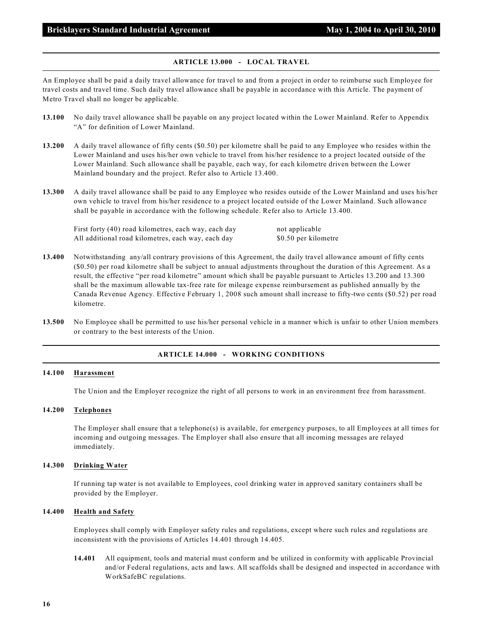#### **ARTICLE 13.000 - LOCAL TRAVEL**

An Employee shall be paid a daily travel allowance for travel to and from a project in order to reimburse such Employee for travel costs and travel time. Such daily travel allowance shall be payable in accordance with this Article. The payment of Metro Travel shall no longer be applicable.

- **13.100** No daily travel allowance shall be payable on any project located within the Lower Mainland. Refer to Appendix "A" for definition of Lower Mainland.
- **13.200** A daily travel allowance of fifty cents (\$0.50) per kilometre shall be paid to any Employee who resides within the Lower Mainland and uses his/her own vehicle to travel from his/her residence to a project located outside of the Lower Mainland. Such allowance shall be payable, each way, for each kilometre driven between the Lower Mainland boundary and the project. Refer also to Article 13.400.
- **13.300** A daily travel allowance shall be paid to any Employee who resides outside of the Lower Mainland and uses his/her own vehicle to travel from his/her residence to a project located outside of the Lower Mainland. Such allowance shall be payable in accordance with the following schedule. Refer also to Article 13.400.

First forty (40) road kilometres, each way, each day not applicable All additional road kilometres, each way, each day \$0.50 per kilometre

- **13.400** Notwithstanding any/all contrary provisions of this Agreement, the daily travel allowance amount of fifty cents (\$0.50) per road kilometre shall be subject to annual adjustments throughout the duration of this Agreement. As a result, the effective "per road kilometre" amount which shall be payable pursuant to Articles 13.200 and 13.300 shall be the maximum allowable tax-free rate for mileage expense reimbursement as published annually by the Canada Revenue Agency. Effective February 1, 2008 such amount shall increase to fifty-two cents (\$0.52) per road kilometre.
- **13.500** No Employee shall be permitted to use his/her personal vehicle in a manner which is unfair to other Union members or contrary to the best interests of the Union.

#### **ARTICLE 14.000 - WORKING CONDITIONS**

#### **14.100 Harassment**

The Union and the Employer recognize the right of all persons to work in an environment free from harassment.

#### **14.200 Telephones**

The Employer shall ensure that a telephone(s) is available, for emergency purposes, to all Employees at all times for incoming and outgoing messages. The Employer shall also ensure that all incoming messages are relayed immediately.

#### **14.300 Drinking Water**

If running tap water is not available to Employees, cool drinking water in approved sanitary containers shall be provided by the Employer.

#### **14.400 Health and Safety**

Employees shall comply with Employer safety rules and regulations, except where such rules and regulations are inconsistent with the provisions of Articles 14.401 through 14.405.

**14.401** All equipment, tools and material must conform and be utilized in conformity with applicable Provincial and/or Federal regulations, acts and laws. All scaffolds shall be designed and inspected in accordance with WorkSafeBC regulations.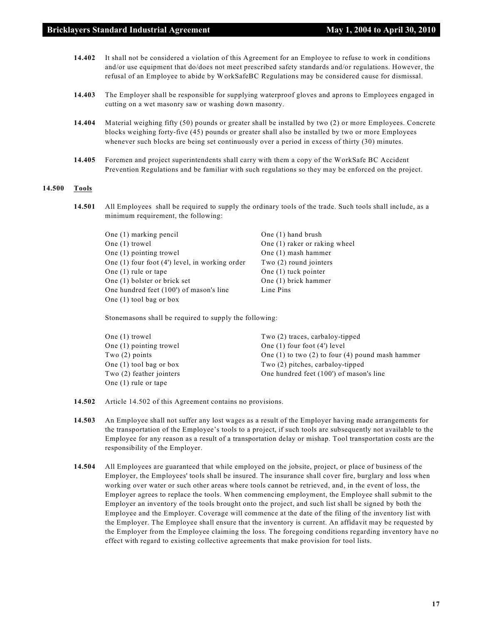- **14.402** It shall not be considered a violation of this Agreement for an Employee to refuse to work in conditions and/or use equipment that do/does not meet prescribed safety standards and/or regulations. However, the refusal of an Employee to abide by WorkSafeBC Regulations may be considered cause for dismissal.
- **14.403** The Employer shall be responsible for supplying waterproof gloves and aprons to Employees engaged in cutting on a wet masonry saw or washing down masonry.
- **14.404** Material weighing fifty (50) pounds or greater shall be installed by two (2) or more Employees. Concrete blocks weighing forty-five (45) pounds or greater shall also be installed by two or more Employees whenever such blocks are being set continuously over a period in excess of thirty (30) minutes.
- **14.405** Foremen and project superintendents shall carry with them a copy of the WorkSafe BC Accident Prevention Regulations and be familiar with such regulations so they may be enforced on the project.

#### **14.500 Tools**

**14.501** All Employees shall be required to supply the ordinary tools of the trade. Such tools shall include, as a minimum requirement, the following:

| One (1) marking pencil                             | One $(1)$ hand brush          |
|----------------------------------------------------|-------------------------------|
| One $(1)$ trowel                                   | One (1) raker or raking wheel |
| One $(1)$ pointing trowel                          | One (1) mash hammer           |
| One $(1)$ four foot $(4')$ level, in working order | Two $(2)$ round jointers      |
| One $(1)$ rule or tape                             | One $(1)$ tuck pointer        |
| One (1) bolster or brick set                       | One (1) brick hammer          |
| One hundred feet (100') of mason's line            | Line Pins                     |
| One $(1)$ tool bag or box                          |                               |

Stonemasons shall be required to supply the following:

| One (1) trowel            | Two (2) traces, carbaloy-tipped                        |
|---------------------------|--------------------------------------------------------|
| One (1) pointing trowel   | One $(1)$ four foot $(4')$ level                       |
| Two $(2)$ points          | One $(1)$ to two $(2)$ to four $(4)$ pound mash hammer |
| One $(1)$ tool bag or box | Two (2) pitches, carbaloy-tipped                       |
| Two (2) feather jointers  | One hundred feet (100') of mason's line                |
| One $(1)$ rule or tape    |                                                        |

- **14.502** Article 14.502 of this Agreement contains no provisions.
- **14.503** An Employee shall not suffer any lost wages as a result of the Employer having made arrangements for the transportation of the Employee's tools to a project, if such tools are subsequently not available to the Employee for any reason as a result of a transportation delay or mishap. Tool transportation costs are the responsibility of the Employer.
- **14.504** All Employees are guaranteed that while employed on the jobsite, project, or place of business of the Employer, the Employees' tools shall be insured. The insurance shall cover fire, burglary and loss when working over water or such other areas where tools cannot be retrieved, and, in the event of loss, the Employer agrees to replace the tools. When commencing employment, the Employee shall submit to the Employer an inventory of the tools brought onto the project, and such list shall be signed by both the Employee and the Employer. Coverage will commence at the date of the filing of the inventory list with the Employer. The Employee shall ensure that the inventory is current. An affidavit may be requested by the Employer from the Employee claiming the loss. The foregoing conditions regarding inventory have no effect with regard to existing collective agreements that make provision for tool lists.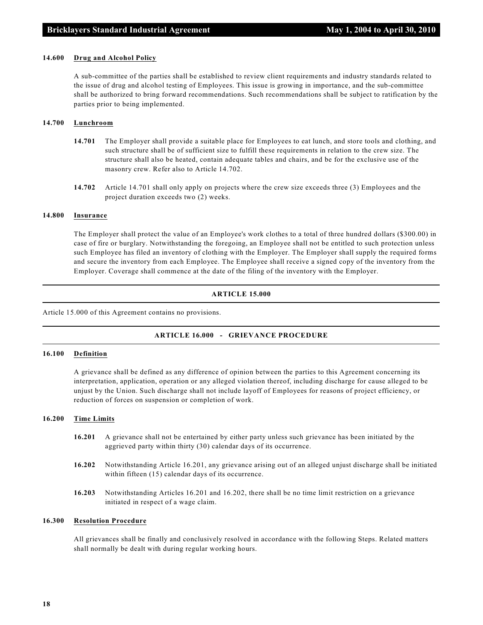#### **14.600 Drug and Alcohol Policy**

A sub-committee of the parties shall be established to review client requirements and industry standards related to the issue of drug and alcohol testing of Employees. This issue is growing in importance, and the sub-committee shall be authorized to bring forward recommendations. Such recommendations shall be subject to ratification by the parties prior to being implemented.

#### **14.700 Lunchroom**

- **14.701** The Employer shall provide a suitable place for Employees to eat lunch, and store tools and clothing, and such structure shall be of sufficient size to fulfill these requirements in relation to the crew size. The structure shall also be heated, contain adequate tables and chairs, and be for the exclusive use of the masonry crew. Refer also to Article 14.702.
- **14.702** Article 14.701 shall only apply on projects where the crew size exceeds three (3) Employees and the project duration exceeds two (2) weeks.

#### **14.800 Insurance**

The Employer shall protect the value of an Employee's work clothes to a total of three hundred dollars (\$300.00) in case of fire or burglary. Notwithstanding the foregoing, an Employee shall not be entitled to such protection unless such Employee has filed an inventory of clothing with the Employer. The Employer shall supply the required forms and secure the inventory from each Employee. The Employee shall receive a signed copy of the inventory from the Employer. Coverage shall commence at the date of the filing of the inventory with the Employer.

#### **ARTICLE 15.000**

Article 15.000 of this Agreement contains no provisions.

#### **ARTICLE 16.000 - GRIEVANCE PROCEDURE**

#### **16.100 Definition**

A grievance shall be defined as any difference of opinion between the parties to this Agreement concerning its interpretation, application, operation or any alleged violation thereof, including discharge for cause alleged to be unjust by the Union. Such discharge shall not include layoff of Employees for reasons of project efficiency, or reduction of forces on suspension or completion of work.

#### **16.200 Time Limits**

- **16.201** A grievance shall not be entertained by either party unless such grievance has been initiated by the aggrieved party within thirty (30) calendar days of its occurrence.
- **16.202** Notwithstanding Article 16.201, any grievance arising out of an alleged unjust discharge shall be initiated within fifteen (15) calendar days of its occurrence.
- **16.203** Notwithstanding Articles 16.201 and 16.202, there shall be no time limit restriction on a grievance initiated in respect of a wage claim.

#### **16.300 Resolution Procedure**

All grievances shall be finally and conclusively resolved in accordance with the following Steps. Related matters shall normally be dealt with during regular working hours.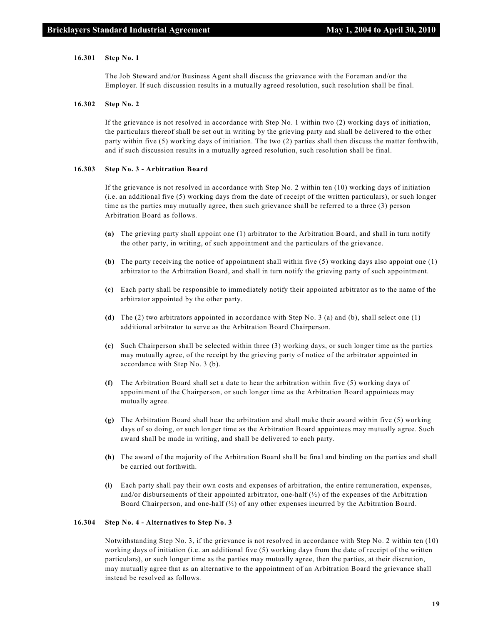#### **16.301 Step No. 1**

The Job Steward and/or Business Agent shall discuss the grievance with the Foreman and/or the Employer. If such discussion results in a mutually agreed resolution, such resolution shall be final.

#### **16.302 Step No. 2**

If the grievance is not resolved in accordance with Step No. 1 within two (2) working days of initiation, the particulars thereof shall be set out in writing by the grieving party and shall be delivered to the other party within five (5) working days of initiation. The two (2) parties shall then discuss the matter forthwith, and if such discussion results in a mutually agreed resolution, such resolution shall be final.

#### **16.303 Step No. 3 - Arbitration Board**

If the grievance is not resolved in accordance with Step No. 2 within ten (10) working days of initiation (i.e. an additional five (5) working days from the date of receipt of the written particulars), or such longer time as the parties may mutually agree, then such grievance shall be referred to a three (3) person Arbitration Board as follows.

- **(a)** The grieving party shall appoint one (1) arbitrator to the Arbitration Board, and shall in turn notify the other party, in writing, of such appointment and the particulars of the grievance.
- **(b)** The party receiving the notice of appointment shall within five (5) working days also appoint one (1) arbitrator to the Arbitration Board, and shall in turn notify the grieving party of such appointment.
- **(c)** Each party shall be responsible to immediately notify their appointed arbitrator as to the name of the arbitrator appointed by the other party.
- **(d)** The (2) two arbitrators appointed in accordance with Step No. 3 (a) and (b), shall select one (1) additional arbitrator to serve as the Arbitration Board Chairperson.
- **(e)** Such Chairperson shall be selected within three (3) working days, or such longer time as the parties may mutually agree, of the receipt by the grieving party of notice of the arbitrator appointed in accordance with Step No. 3 (b).
- **(f)** The Arbitration Board shall set a date to hear the arbitration within five (5) working days of appointment of the Chairperson, or such longer time as the Arbitration Board appointees may mutually agree.
- **(g)** The Arbitration Board shall hear the arbitration and shall make their award within five (5) working days of so doing, or such longer time as the Arbitration Board appointees may mutually agree. Such award shall be made in writing, and shall be delivered to each party.
- **(h)** The award of the majority of the Arbitration Board shall be final and binding on the parties and shall be carried out forthwith.
- **(i)** Each party shall pay their own costs and expenses of arbitration, the entire remuneration, expenses, and/or disbursements of their appointed arbitrator, one-half  $(\frac{1}{2})$  of the expenses of the Arbitration Board Chairperson, and one-half (½) of any other expenses incurred by the Arbitration Board.

#### **16.304 Step No. 4 - Alternatives to Step No. 3**

Notwithstanding Step No. 3, if the grievance is not resolved in accordance with Step No. 2 within ten (10) working days of initiation (i.e. an additional five (5) working days from the date of receipt of the written particulars), or such longer time as the parties may mutually agree, then the parties, at their discretion, may mutually agree that as an alternative to the appointment of an Arbitration Board the grievance shall instead be resolved as follows.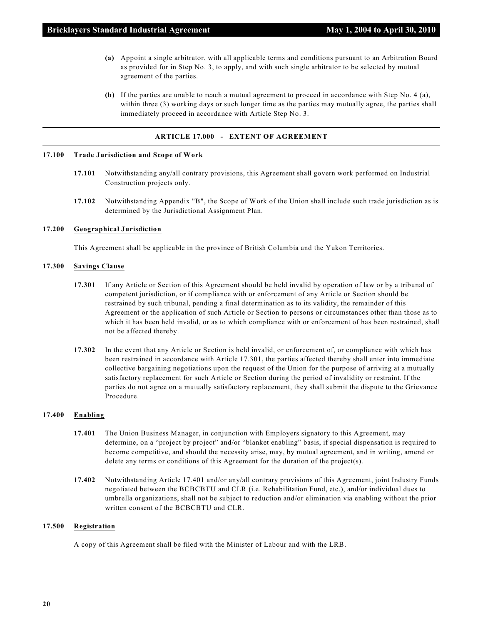- **(a)** Appoint a single arbitrator, with all applicable terms and conditions pursuant to an Arbitration Board as provided for in Step No. 3, to apply, and with such single arbitrator to be selected by mutual agreement of the parties.
- **(b)** If the parties are unable to reach a mutual agreement to proceed in accordance with Step No. 4 (a), within three (3) working days or such longer time as the parties may mutually agree, the parties shall immediately proceed in accordance with Article Step No. 3.

#### **ARTICLE 17.000 - EXTENT OF AGREEMENT**

#### **17.100 Trade Jurisdiction and Scope of Work**

- **17.101** Notwithstanding any/all contrary provisions, this Agreement shall govern work performed on Industrial Construction projects only.
- **17.102** Notwithstanding Appendix "B", the Scope of Work of the Union shall include such trade jurisdiction as is determined by the Jurisdictional Assignment Plan.

#### **17.200 Geographical Jurisdiction**

This Agreement shall be applicable in the province of British Columbia and the Yukon Territories.

#### **17.300 Savings Clause**

- **17.301** If any Article or Section of this Agreement should be held invalid by operation of law or by a tribunal of competent jurisdiction, or if compliance with or enforcement of any Article or Section should be restrained by such tribunal, pending a final determination as to its validity, the remainder of this Agreement or the application of such Article or Section to persons or circumstances other than those as to which it has been held invalid, or as to which compliance with or enforcement of has been restrained, shall not be affected thereby.
- **17.302** In the event that any Article or Section is held invalid, or enforcement of, or compliance with which has been restrained in accordance with Article 17.301, the parties affected thereby shall enter into immediate collective bargaining negotiations upon the request of the Union for the purpose of arriving at a mutually satisfactory replacement for such Article or Section during the period of invalidity or restraint. If the parties do not agree on a mutually satisfactory replacement, they shall submit the dispute to the Grievance Procedure.

#### **17.400 Enabling**

- **17.401** The Union Business Manager, in conjunction with Employers signatory to this Agreement, may determine, on a "project by project" and/or "blanket enabling" basis, if special dispensation is required to become competitive, and should the necessity arise, may, by mutual agreement, and in writing, amend or delete any terms or conditions of this Agreement for the duration of the project(s).
- **17.402** Notwithstanding Article 17.401 and/or any/all contrary provisions of this Agreement, joint Industry Funds negotiated between the BCBCBTU and CLR (i.e. Rehabilitation Fund, etc.), and/or individual dues to umbrella organizations, shall not be subject to reduction and/or elimination via enabling without the prior written consent of the BCBCBTU and CLR.

#### **17.500 Registration**

A copy of this Agreement shall be filed with the Minister of Labour and with the LRB.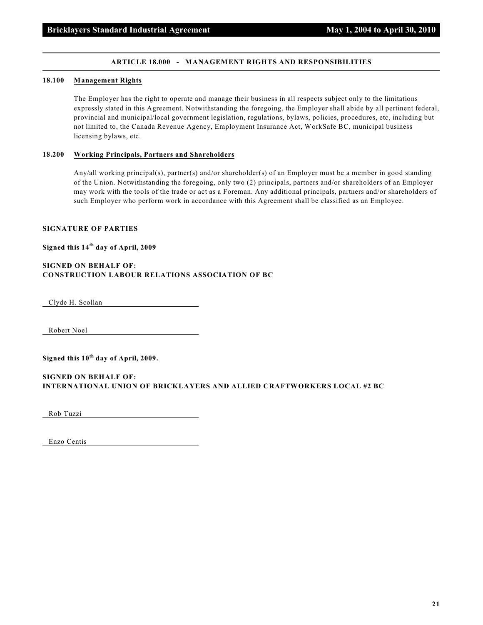#### **ARTICLE 18.000 - MANAGEMENT RIGHTS AND RESPONSIBILITIES**

#### **18.100 Management Rights**

The Employer has the right to operate and manage their business in all respects subject only to the limitations expressly stated in this Agreement. Notwithstanding the foregoing, the Employer shall abide by all pertinent federal, provincial and municipal/local government legislation, regulations, bylaws, policies, procedures, etc, including but not limited to, the Canada Revenue Agency, Employment Insurance Act, WorkSafe BC, municipal business licensing bylaws, etc.

#### **18.200 Working Principals, Partners and Shareholders**

Any/all working principal(s), partner(s) and/or shareholder(s) of an Employer must be a member in good standing of the Union. Notwithstanding the foregoing, only two (2) principals, partners and/or shareholders of an Employer may work with the tools of the trade or act as a Foreman. Any additional principals, partners and/or shareholders of such Employer who perform work in accordance with this Agreement shall be classified as an Employee.

#### **SIGNATURE OF PARTIES**

#### Signed this 14<sup>th</sup> day of April, 2009

#### **SIGNED ON BEHALF OF: CONSTRUCTION LABOUR RELATIONS ASSOCIATION OF BC**

Clyde H. Scollan

Robert Noel

Signed this  $10^{th}$  day of April, 2009.

#### **SIGNED ON BEHALF OF: INTERNATIONAL UNION OF BRICKLAYERS AND ALLIED CRAFTWORKERS LOCAL #2 BC**

Rob Tuzzi

Enzo Centis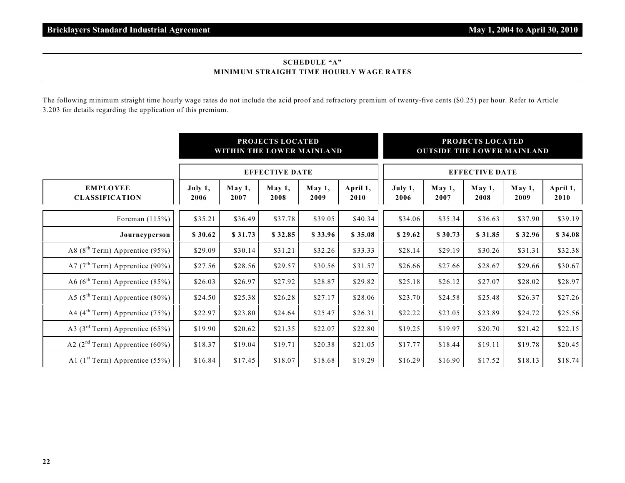#### **SCHEDULE "A" MINIMUM STRAIGHT TIME HOURLY WAGE RATES**

The following minimum straight time hourly wage rates do not include the acid proof and refractory premium of twenty-five cents (\$0.25) per hour. Refer to Article 3.203 for details regarding the application of this premium.

|                                               |                 |                       | PROJECTS LOCATED<br>WITHIN THE LOWER MAINLAND |                |                       |                 |                | PROJECTS LOCATED<br><b>OUTSIDE THE LOWER MAINLAND</b> |                |                  |
|-----------------------------------------------|-----------------|-----------------------|-----------------------------------------------|----------------|-----------------------|-----------------|----------------|-------------------------------------------------------|----------------|------------------|
|                                               |                 | <b>EFFECTIVE DATE</b> |                                               |                | <b>EFFECTIVE DATE</b> |                 |                |                                                       |                |                  |
| <b>EMPLOYEE</b><br><b>CLASSIFICATION</b>      | July 1,<br>2006 | May 1,<br>2007        | May 1,<br>2008                                | May 1,<br>2009 | April 1,<br>2010      | July 1,<br>2006 | May 1,<br>2007 | May 1,<br>2008                                        | May 1,<br>2009 | April 1,<br>2010 |
| Foreman $(115%)$                              | \$35.21         | \$36.49               | \$37.78                                       | \$39.05        | \$40.34               | \$34.06         | \$35.34        | \$36.63                                               | \$37.90        | \$39.19          |
| Journeyperson                                 | \$30.62         | \$31.73               | \$32.85                                       | \$33.96        | \$35.08               | \$29.62         | \$30.73        | \$31.85                                               | \$32.96        | \$34.08          |
| A8 ( $8^{\text{th}}$ Term) Apprentice (95%)   | \$29.09         | \$30.14               | \$31.21                                       | \$32.26        | \$33.33               | \$28.14         | \$29.19        | \$30.26                                               | \$31.31        | \$32.38          |
| A7 ( $7^{\text{th}}$ Term) Apprentice (90%)   | \$27.56         | \$28.56               | \$29.57                                       | \$30.56        | \$31.57               | \$26.66         | \$27.66        | \$28.67                                               | \$29.66        | \$30.67          |
| A6 ( $6^{\text{th}}$ Term) Apprentice (85%)   | \$26.03         | \$26.97               | \$27.92                                       | \$28.87        | \$29.82               | \$25.18         | \$26.12        | \$27.07                                               | \$28.02        | \$28.97          |
| A5 ( $5^{\text{th}}$ Term) Apprentice (80%)   | \$24.50         | \$25.38               | \$26.28                                       | \$27.17        | \$28.06               | \$23.70         | \$24.58        | \$25.48                                               | \$26.37        | \$27.26          |
| A4 ( $4^{\text{th}}$ Term) Apprentice (75%)   | \$22.97         | \$23.80               | \$24.64                                       | \$25.47        | \$26.31               | \$22.22         | \$23.05        | \$23.89                                               | \$24.72        | \$25.56          |
| A3 ( $3rd$ Term) Apprentice (65%)             | \$19.90         | \$20.62               | \$21.35                                       | \$22.07        | \$22.80               | \$19.25         | \$19.97        | \$20.70                                               | \$21.42        | \$22.15          |
| A2 ( $2nd$ Term) Apprentice (60%)             | \$18.37         | \$19.04               | \$19.71                                       | \$20.38        | \$21.05               | \$17.77         | \$18.44        | \$19.11                                               | \$19.78        | \$20.45          |
| A1 $(1^{\text{st}}$ Term) Apprentice $(55\%)$ | \$16.84         | \$17.45               | \$18.07                                       | \$18.68        | \$19.29               | \$16.29         | \$16.90        | \$17.52                                               | \$18.13        | \$18.74          |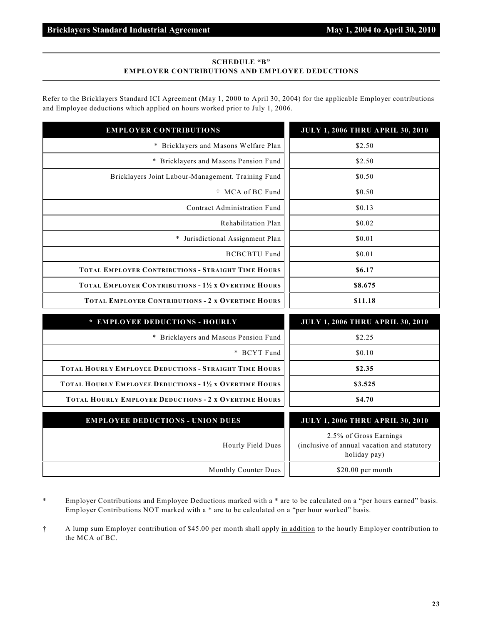#### **SCHEDULE "B" EMPLOYER CONTRIBUTIONS AND EMPLOYEE DEDUCTIONS**

Refer to the Bricklayers Standard ICI Agreement (May 1, 2000 to April 30, 2004) for the applicable Employer contributions and Employee deductions which applied on hours worked prior to July 1, 2006.

| <b>EMPLOYER CONTRIBUTIONS</b>                               | <b>JULY 1, 2006 THRU APRIL 30, 2010</b> |
|-------------------------------------------------------------|-----------------------------------------|
| * Bricklayers and Masons Welfare Plan                       | \$2.50                                  |
| Bricklayers and Masons Pension Fund<br>$\ast$               | \$2.50                                  |
| Bricklayers Joint Labour-Management. Training Fund          | \$0.50                                  |
| † MCA of BC Fund                                            | \$0.50                                  |
| Contract Administration Fund                                | \$0.13                                  |
| Rehabilitation Plan                                         | \$0.02                                  |
| Jurisdictional Assignment Plan<br>*                         | \$0.01                                  |
| <b>BCBCBTU Fund</b>                                         | \$0.01                                  |
| <b>TOTAL EMPLOYER CONTRIBUTIONS - STRAIGHT TIME HOURS</b>   | \$6.17                                  |
| <b>TOTAL EMPLOYER CONTRIBUTIONS - 11/2 x OVERTIME HOURS</b> | \$8.675                                 |
| <b>TOTAL EMPLOYER CONTRIBUTIONS - 2 x OVERTIME HOURS</b>    | \$11.18                                 |

| * EMPLOYEE DEDUCTIONS - HOURLY                           | <b>JULY 1, 2006 THRU APRIL 30, 2010</b> |
|----------------------------------------------------------|-----------------------------------------|
| * Bricklayers and Masons Pension Fund                    | \$2.25                                  |
| * BCYT Fund                                              | \$0.10                                  |
| TOTAL HOURLY EMPLOYEE DEDUCTIONS - STRAIGHT TIME HOURS   | \$2.35                                  |
| TOTAL HOURLY EMPLOYEE DEDUCTIONS - 11/2 x OVERTIME HOURS | \$3.525                                 |
| TOTAL HOURLY EMPLOYEE DEDUCTIONS - 2 x OVERTIME HOURS    | \$4.70                                  |
| <b>EMPLOYEE DEDUCTIONS - UNION DUES</b>                  | <b>JULY 1, 2006 THRU APRIL 30, 2010</b> |

| Hourly Field Dues    | 2.5% of Gross Earnings<br>(inclusive of annual vacation and statutory<br>holiday pay) |  |  |  |
|----------------------|---------------------------------------------------------------------------------------|--|--|--|
| Monthly Counter Dues | $$20.00$ per month                                                                    |  |  |  |

\* Employer Contributions and Employee Deductions marked with a \* are to be calculated on a "per hours earned" basis. Employer Contributions NOT marked with a \* are to be calculated on a "per hour worked" basis.

† A lump sum Employer contribution of \$45.00 per month shall apply in addition to the hourly Employer contribution to the MCA of BC.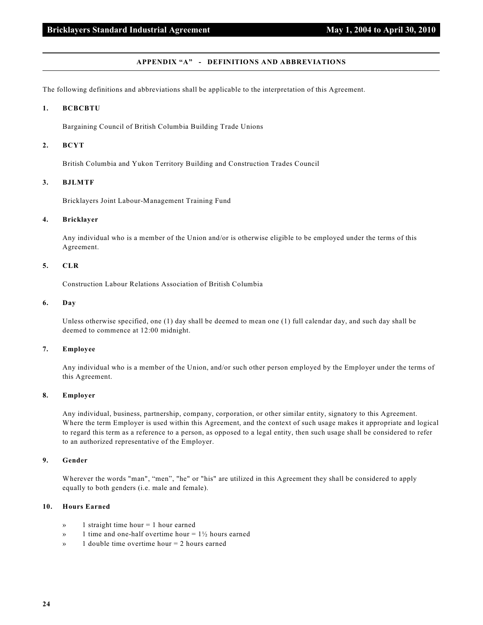#### **APPENDIX "A" - DEFINITIONS AND ABBREVIATIONS**

The following definitions and abbreviations shall be applicable to the interpretation of this Agreement.

#### **1. BCBCBTU**

Bargaining Council of British Columbia Building Trade Unions

#### **2. BCYT**

British Columbia and Yukon Territory Building and Construction Trades Council

#### **3. BJLMTF**

Bricklayers Joint Labour-Management Training Fund

#### **4. Bricklayer**

Any individual who is a member of the Union and/or is otherwise eligible to be employed under the terms of this Agreement.

#### **5. CLR**

Construction Labour Relations Association of British Columbia

#### **6. Day**

Unless otherwise specified, one (1) day shall be deemed to mean one (1) full calendar day, and such day shall be deemed to commence at 12:00 midnight.

#### **7. Employee**

Any individual who is a member of the Union, and/or such other person employed by the Employer under the terms of this Agreement.

#### **8. Employer**

Any individual, business, partnership, company, corporation, or other similar entity, signatory to this Agreement. Where the term Employer is used within this Agreement, and the context of such usage makes it appropriate and logical to regard this term as a reference to a person, as opposed to a legal entity, then such usage shall be considered to refer to an authorized representative of the Employer.

#### **9. Gender**

Wherever the words "man", "men", "he" or "his" are utilized in this Agreement they shall be considered to apply equally to both genders (i.e. male and female).

#### **10. Hours Earned**

- » 1 straight time hour = 1 hour earned
- $\mathcal{P}$  1 time and one-half overtime hour = 1½ hours earned
- » 1 double time overtime hour = 2 hours earned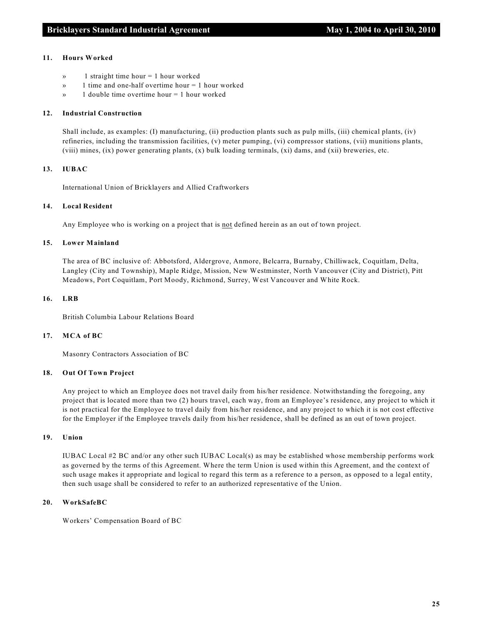#### **11. Hours Worked**

- » 1 straight time hour = 1 hour worked
- » 1 time and one-half overtime hour = 1 hour worked
- » 1 double time overtime hour = 1 hour worked

#### **12. Industrial Construction**

Shall include, as examples: (I) manufacturing, (ii) production plants such as pulp mills, (iii) chemical plants, (iv) refineries, including the transmission facilities, (v) meter pumping, (vi) compressor stations, (vii) munitions plants, (viii) mines, (ix) power generating plants, (x) bulk loading terminals, (xi) dams, and (xii) breweries, etc.

#### **13. IUBAC**

International Union of Bricklayers and Allied Craftworkers

#### **14. Local Resident**

Any Employee who is working on a project that is not defined herein as an out of town project.

#### **15. Lower Mainland**

The area of BC inclusive of: Abbotsford, Aldergrove, Anmore, Belcarra, Burnaby, Chilliwack, Coquitlam, Delta, Langley (City and Township), Maple Ridge, Mission, New Westminster, North Vancouver (City and District), Pitt Meadows, Port Coquitlam, Port Moody, Richmond, Surrey, West Vancouver and White Rock.

#### **16. LRB**

British Columbia Labour Relations Board

#### **17. MCA of BC**

Masonry Contractors Association of BC

#### **18. Out Of Town Project**

Any project to which an Employee does not travel daily from his/her residence. Notwithstanding the foregoing, any project that is located more than two (2) hours travel, each way, from an Employee's residence, any project to which it is not practical for the Employee to travel daily from his/her residence, and any project to which it is not cost effective for the Employer if the Employee travels daily from his/her residence, shall be defined as an out of town project.

#### **19. Union**

IUBAC Local #2 BC and/or any other such IUBAC Local(s) as may be established whose membership performs work as governed by the terms of this Agreement. Where the term Union is used within this Agreement, and the context of such usage makes it appropriate and logical to regard this term as a reference to a person, as opposed to a legal entity, then such usage shall be considered to refer to an authorized representative of the Union.

#### **20. WorkSafeBC**

Workers' Compensation Board of BC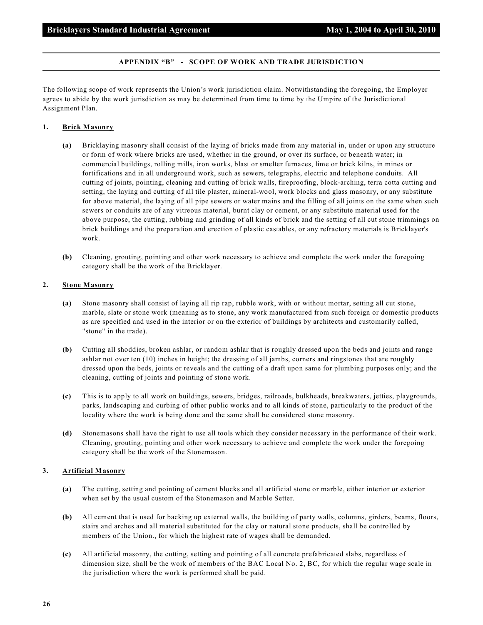#### **APPENDIX "B" - SCOPE OF WORK AND TRADE JURISDICTION**

The following scope of work represents the Union's work jurisdiction claim. Notwithstanding the foregoing, the Employer agrees to abide by the work jurisdiction as may be determined from time to time by the Umpire of the Jurisdictional Assignment Plan.

#### **1. Brick Masonry**

- **(a)** Bricklaying masonry shall consist of the laying of bricks made from any material in, under or upon any structure or form of work where bricks are used, whether in the ground, or over its surface, or beneath water; in commercial buildings, rolling mills, iron works, blast or smelter furnaces, lime or brick kilns, in mines or fortifications and in all underground work, such as sewers, telegraphs, electric and telephone conduits. All cutting of joints, pointing, cleaning and cutting of brick walls, fireproofing, block-arching, terra cotta cutting and setting, the laying and cutting of all tile plaster, mineral-wool, work blocks and glass masonry, or any substitute for above material, the laying of all pipe sewers or water mains and the filling of all joints on the same when such sewers or conduits are of any vitreous material, burnt clay or cement, or any substitute material used for the above purpose, the cutting, rubbing and grinding of all kinds of brick and the setting of all cut stone trimmings on brick buildings and the preparation and erection of plastic castables, or any refractory materials is Bricklayer's work.
- **(b)** Cleaning, grouting, pointing and other work necessary to achieve and complete the work under the foregoing category shall be the work of the Bricklayer.

#### **2. Stone Masonry**

- **(a)** Stone masonry shall consist of laying all rip rap, rubble work, with or without mortar, setting all cut stone, marble, slate or stone work (meaning as to stone, any work manufactured from such foreign or domestic products as are specified and used in the interior or on the exterior of buildings by architects and customarily called, "stone" in the trade).
- **(b)** Cutting all shoddies, broken ashlar, or random ashlar that is roughly dressed upon the beds and joints and range ashlar not over ten (10) inches in height; the dressing of all jambs, corners and ringstones that are roughly dressed upon the beds, joints or reveals and the cutting of a draft upon same for plumbing purposes only; and the cleaning, cutting of joints and pointing of stone work.
- **(c)** This is to apply to all work on buildings, sewers, bridges, railroads, bulkheads, breakwaters, jetties, playgrounds, parks, landscaping and curbing of other public works and to all kinds of stone, particularly to the product of the locality where the work is being done and the same shall be considered stone masonry.
- **(d)** Stonemasons shall have the right to use all tools which they consider necessary in the performance of their work. Cleaning, grouting, pointing and other work necessary to achieve and complete the work under the foregoing category shall be the work of the Stonemason.

#### **3. Artificial Masonry**

- **(a)** The cutting, setting and pointing of cement blocks and all artificial stone or marble, either interior or exterior when set by the usual custom of the Stonemason and Marble Setter.
- **(b)** All cement that is used for backing up external walls, the building of party walls, columns, girders, beams, floors, stairs and arches and all material substituted for the clay or natural stone products, shall be controlled by members of the Union., for which the highest rate of wages shall be demanded.
- **(c)** All artificial masonry, the cutting, setting and pointing of all concrete prefabricated slabs, regardless of dimension size, shall be the work of members of the BAC Local No. 2, BC, for which the regular wage scale in the jurisdiction where the work is performed shall be paid.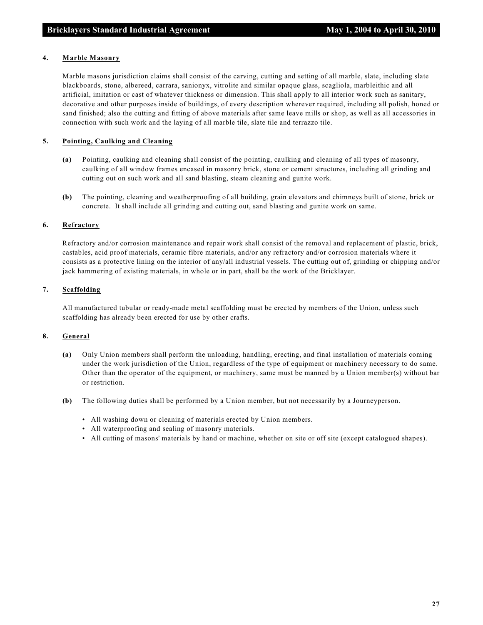#### **4. Marble Masonry**

Marble masons jurisdiction claims shall consist of the carving, cutting and setting of all marble, slate, including slate blackboards, stone, albereed, carrara, sanionyx, vitrolite and similar opaque glass, scagliola, marbleithic and all artificial, imitation or cast of whatever thickness or dimension. This shall apply to all interior work such as sanitary, decorative and other purposes inside of buildings, of every description wherever required, including all polish, honed or sand finished; also the cutting and fitting of above materials after same leave mills or shop, as well as all accessories in connection with such work and the laying of all marble tile, slate tile and terrazzo tile.

#### **5. Pointing, Caulking and Cleaning**

- **(a)** Pointing, caulking and cleaning shall consist of the pointing, caulking and cleaning of all types of masonry, caulking of all window frames encased in masonry brick, stone or cement structures, including all grinding and cutting out on such work and all sand blasting, steam cleaning and gunite work.
- **(b)** The pointing, cleaning and weatherproofing of all building, grain elevators and chimneys built of stone, brick or concrete. It shall include all grinding and cutting out, sand blasting and gunite work on same.

#### **6. Refractory**

Refractory and/or corrosion maintenance and repair work shall consist of the removal and replacement of plastic, brick, castables, acid proof materials, ceramic fibre materials, and/or any refractory and/or corrosion materials where it consists as a protective lining on the interior of any/all industrial vessels. The cutting out of, grinding or chipping and/or jack hammering of existing materials, in whole or in part, shall be the work of the Bricklayer.

#### **7. Scaffolding**

All manufactured tubular or ready-made metal scaffolding must be erected by members of the Union, unless such scaffolding has already been erected for use by other crafts.

#### **8. General**

- **(a)** Only Union members shall perform the unloading, handling, erecting, and final installation of materials coming under the work jurisdiction of the Union, regardless of the type of equipment or machinery necessary to do same. Other than the operator of the equipment, or machinery, same must be manned by a Union member(s) without bar or restriction.
- **(b)** The following duties shall be performed by a Union member, but not necessarily by a Journeyperson.
	- All washing down or cleaning of materials erected by Union members.
	- All waterproofing and sealing of masonry materials.
	- All cutting of masons' materials by hand or machine, whether on site or off site (except catalogued shapes).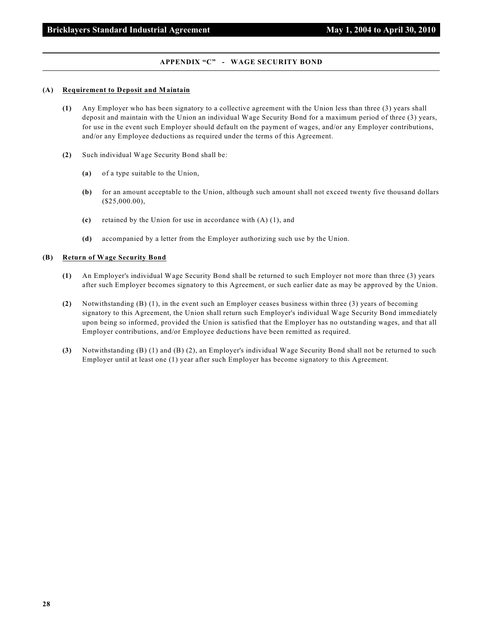#### **APPENDIX "C" - WAGE SECURITY BOND**

#### **(A) Requirement to Deposit and Maintain**

- **(1)** Any Employer who has been signatory to a collective agreement with the Union less than three (3) years shall deposit and maintain with the Union an individual Wage Security Bond for a maximum period of three (3) years, for use in the event such Employer should default on the payment of wages, and/or any Employer contributions, and/or any Employee deductions as required under the terms of this Agreement.
- **(2)** Such individual Wage Security Bond shall be:
	- **(a)** of a type suitable to the Union,
	- **(b)** for an amount acceptable to the Union, although such amount shall not exceed twenty five thousand dollars (\$25,000.00),
	- **(c)** retained by the Union for use in accordance with (A) (1), and
	- **(d)** accompanied by a letter from the Employer authorizing such use by the Union.

#### **(B) Return of Wage Security Bond**

- **(1)** An Employer's individual Wage Security Bond shall be returned to such Employer not more than three (3) years after such Employer becomes signatory to this Agreement, or such earlier date as may be approved by the Union.
- **(2)** Notwithstanding (B) (1), in the event such an Employer ceases business within three (3) years of becoming signatory to this Agreement, the Union shall return such Employer's individual Wage Security Bond immediately upon being so informed, provided the Union is satisfied that the Employer has no outstanding wages, and that all Employer contributions, and/or Employee deductions have been remitted as required.
- **(3)** Notwithstanding (B) (1) and (B) (2), an Employer's individual Wage Security Bond shall not be returned to such Employer until at least one (1) year after such Employer has become signatory to this Agreement.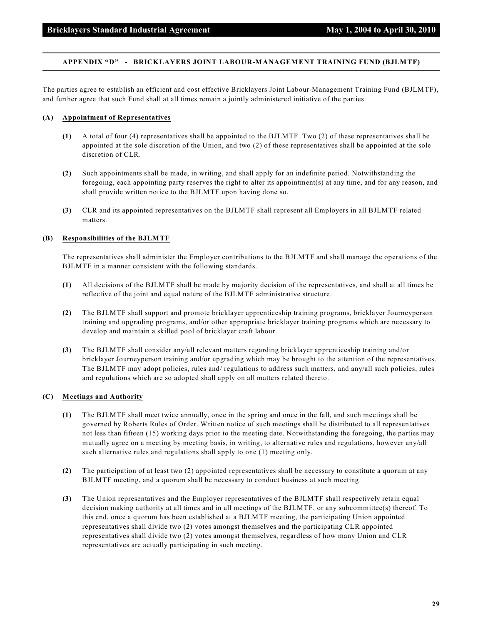#### **APPENDIX "D" - BRICKLAYERS JOINT LABOUR-MANAGEMENT TRAINING FUND (BJLMTF)**

The parties agree to establish an efficient and cost effective Bricklayers Joint Labour-Management Training Fund (BJLMTF), and further agree that such Fund shall at all times remain a jointly administered initiative of the parties.

#### **(A) Appointment of Representatives**

- **(1)** A total of four (4) representatives shall be appointed to the BJLMTF. Two (2) of these representatives shall be appointed at the sole discretion of the Union, and two (2) of these representatives shall be appointed at the sole discretion of CLR.
- **(2)** Such appointments shall be made, in writing, and shall apply for an indefinite period. Notwithstanding the foregoing, each appointing party reserves the right to alter its appointment(s) at any time, and for any reason, and shall provide written notice to the BJLMTF upon having done so.
- **(3)** CLR and its appointed representatives on the BJLMTF shall represent all Employers in all BJLMTF related matters.

#### **(B) Responsibilities of the BJLMTF**

The representatives shall administer the Employer contributions to the BJLMTF and shall manage the operations of the BJLMTF in a manner consistent with the following standards.

- **(1)** All decisions of the BJLMTF shall be made by majority decision of the representatives, and shall at all times be reflective of the joint and equal nature of the BJLMTF administrative structure.
- **(2)** The BJLMTF shall support and promote bricklayer apprenticeship training programs, bricklayer Journeyperson training and upgrading programs, and/or other appropriate bricklayer training programs which are necessary to develop and maintain a skilled pool of bricklayer craft labour.
- **(3)** The BJLMTF shall consider any/all relevant matters regarding bricklayer apprenticeship training and/or bricklayer Journeyperson training and/or upgrading which may be brought to the attention of the representatives. The BJLMTF may adopt policies, rules and/ regulations to address such matters, and any/all such policies, rules and regulations which are so adopted shall apply on all matters related thereto.

#### **(C) Meetings and Authority**

- **(1)** The BJLMTF shall meet twice annually, once in the spring and once in the fall, and such meetings shall be governed by Roberts Rules of Order. Written notice of such meetings shall be distributed to all representatives not less than fifteen (15) working days prior to the meeting date. Notwithstanding the foregoing, the parties may mutually agree on a meeting by meeting basis, in writing, to alternative rules and regulations, however any/all such alternative rules and regulations shall apply to one (1) meeting only.
- **(2)** The participation of at least two (2) appointed representatives shall be necessary to constitute a quorum at any BJLMTF meeting, and a quorum shall be necessary to conduct business at such meeting.
- **(3)** The Union representatives and the Employer representatives of the BJLMTF shall respectively retain equal decision making authority at all times and in all meetings of the BJLMTF, or any subcommittee(s) thereof. To this end, once a quorum has been established at a BJLMTF meeting, the participating Union appointed representatives shall divide two (2) votes amongst themselves and the participating CLR appointed representatives shall divide two (2) votes amongst themselves, regardless of how many Union and CLR representatives are actually participating in such meeting.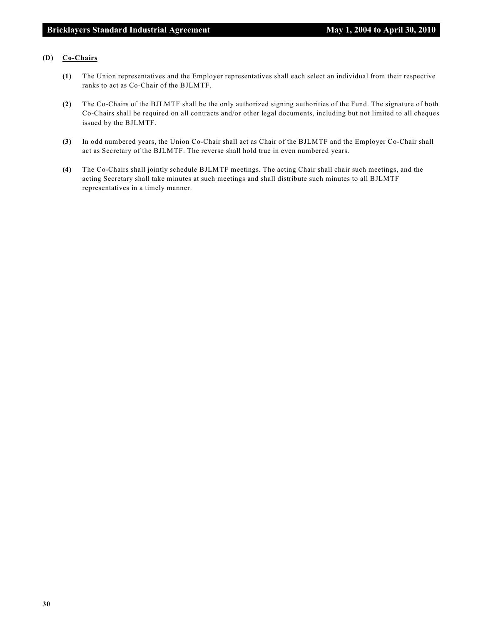#### **(D) Co-Chairs**

- **(1)** The Union representatives and the Employer representatives shall each select an individual from their respective ranks to act as Co-Chair of the BJLMTF.
- **(2)** The Co-Chairs of the BJLMTF shall be the only authorized signing authorities of the Fund. The signature of both Co-Chairs shall be required on all contracts and/or other legal documents, including but not limited to all cheques issued by the BJLMTF.
- **(3)** In odd numbered years, the Union Co-Chair shall act as Chair of the BJLMTF and the Employer Co-Chair shall act as Secretary of the BJLMTF. The reverse shall hold true in even numbered years.
- **(4)** The Co-Chairs shall jointly schedule BJLMTF meetings. The acting Chair shall chair such meetings, and the acting Secretary shall take minutes at such meetings and shall distribute such minutes to all BJLMTF representatives in a timely manner.